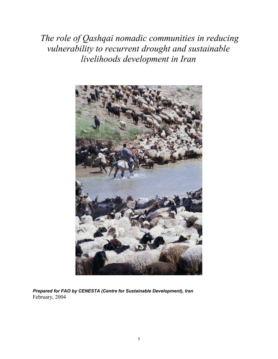*The role of Qashqai nomadic communities in reducing vulnerability to recurrent drought and sustainable livelihoods development in Iran*



*Prepared for FAO by CENESTA (Centre for Sustainable Development), Iran* February, 2004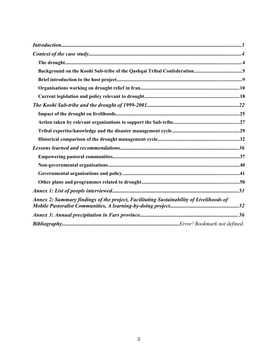<span id="page-1-0"></span>

| Annex 2: Summary findings of the project, Facilitating Sustainability of Livelihoods of |  |
|-----------------------------------------------------------------------------------------|--|
|                                                                                         |  |
|                                                                                         |  |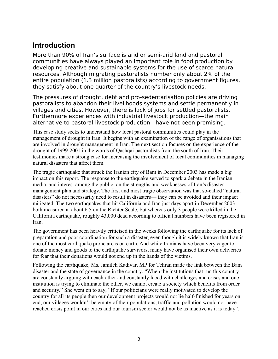# <span id="page-2-0"></span>**Introduction**

More than 90% of Iran's surface is arid or semi-arid land and pastoral communities have always played an important role in food production by developing creative and sustainable systems for the use of scarce natural resources. Although migrating pastoralists number only about 2% of the entire population (1.3 million pastoralists) according to government figures, they satisfy about one quarter of the country's livestock needs.

The pressures of drought, debt and pro-sedentarisation policies are driving pastoralists to abandon their livelihoods systems and settle permanently in villages and cities. However, there is lack of jobs for settled pastoralists. Furthermore experiences with industrial livestock production—the main alternative to pastoral livestock production—have not been promising.

This case study seeks to understand how local pastoral communities could play in the management of drought in Iran. It begins with an examination of the range of organisations that are involved in drought management in Iran. The next section focuses on the experience of the drought of 1999-2001 in the words of Qashqai pastoralists from the south of Iran. Their testimonies make a strong case for increasing the involvement of local communities in managing natural disasters that affect them.

The tragic earthquake that struck the Iranian city of Bam in December 2003 has made a big impact on this report. The response to the earthquake served to spark a debate in the Iranian media, and interest among the public, on the strengths and weaknesses of Iran's disaster management plan and strategy. The first and most tragic observation was that so-called "natural disasters" do not necessarily need to result in disasters— they can be avoided and their impact mitigated. The two earthquakes that hit California and Iran just days apart in December 2003 both measured at about 6.5 on the Richter Scale, but whereas only 3 people were killed in the California earthquake, roughly 43,000 dead according to official numbers have been registered in Iran.

The government has been heavily criticised in the weeks following the earthquake for its lack of preparation and poor coordination for such a disaster, even though it is widely known that Iran is one of the most earthquake prone areas on earth. And while Iranians have been very eager to donate money and goods to the earthquake survivors, many have organised their own deliveries for fear that their donations would not end up in the hands of the victims.

Following the earthquake, Ms. Jamileh Kadivar, MP for Tehran made the link between the Bam disaster and the state of governance in the country. "When the institutions that run this country are constantly arguing with each other and constantly faced with challenges and crises and one institution is trying to eliminate the other, we cannot create a society which benefits from order and security." She went on to say, "If our politicians were really motivated to develop the country for all its people then our development projects would not lie half-finished for years on end, our villages wouldn't be empty of their populations, traffic and pollution would not have reached crisis point in our cities and our tourism sector would not be as inactive as it is today".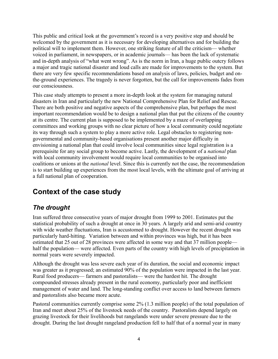This public and critical look at the government's record is a very positive step and should be welcomed by the government as it is necessary for developing alternatives and for building the political will to implement them. However, one striking feature of all the criticism— whether voiced in parliament, in newspapers, or in academic journals— has been the lack of systematic and in-depth analysis of "what went wrong". As is the norm in Iran, a huge public outcry follows a major and tragic national disaster and loud calls are made for improvements to the system. But there are very few specific recommendations based on analysis of laws, policies, budget and onthe-ground experiences. The tragedy is never forgotten, but the call for improvements fades from our consciousness.

This case study attempts to present a more in-depth look at the system for managing natural disasters in Iran and particularly the new National Comprehensive Plan for Relief and Rescue. There are both positive and negative aspects of the comprehensive plan, but perhaps the most important recommendation would be to design a national plan that put the citizens of the country at its centre. The current plan is supposed to be implemented by a maze of overlapping committees and working groups with no clear picture of how a local community could negotiate its way through such a system to play a more active role. Legal obstacles to registering nongovernmental and community-based organisations present another major difficulty in envisioning a national plan that could involve local communities since legal registration is a prerequisite for any social group to become active. Lastly, the development of a *national* plan with local community involvement would require local communities to be organised into coalitions or unions at the *national* level. Since this is currently not the case, the recommendation is to start building up experiences from the most local levels, with the ultimate goal of arriving at a full national plan of cooperation.

# <span id="page-3-1"></span>**Context of the case study**

# <span id="page-3-0"></span>*The drought*

Iran suffered three consecutive years of major drought from 1999 to 2001. Estimates put the statistical probability of such a drought at once in 30 years. A largely arid and semi-arid country with wide weather fluctuations, Iran is accustomed to drought. However the recent drought was particularly hard-hitting. Variation between and within provinces was high, but it has been estimated that 25 out of 28 provinces were affected in some way and that 37 million people half the population— were affected. Even parts of the country with high levels of precipitation in normal years were severely impacted.

Although the drought was less severe each year of its duration, the social and economic impact was greater as it progressed; an estimated 90% of the population were impacted in the last year. Rural food producers— farmers and pastoralists— were the hardest hit. The drought compounded stresses already present in the rural economy, particularly poor and inefficient management of water and land. The long-standing conflict over access to land between farmers and pastoralists also became more acute.

Pastoral communities currently comprise some 2% (1.3 million people) of the total population of Iran and meet about 25% of the livestock needs of the country. Pastoralists depend largely on grazing livestock for their livelihoods but rangelands were under severe pressure due to the drought. During the last drought rangeland production fell to half that of a normal year in many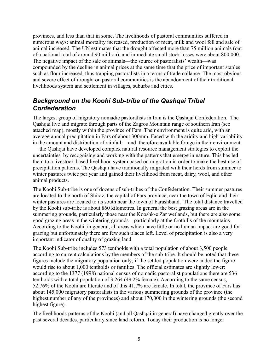provinces, and less than that in some. The livelihoods of pastoral communities suffered in numerous ways: animal mortality increased, production of meat, milk and wool fell and sale of animal increased. The UN estimates that the drought affected more than 75 million animals (out of a national total of around 90 million), and immediate small stock losses were about 800,000. The negative impact of the sale of animals—the source of pastoralists' wealth—was compounded by the decline in animal prices at the same time that the price of important staples such as flour increased, thus trapping pastoralists in a terms of trade collapse. The most obvious and severe effect of drought on pastoral communities is the abandonment of their traditional livelihoods system and settlement in villages, suburbs and cities.

## <span id="page-4-0"></span>*Background on the Koohi Sub-tribe of the Qashqai Tribal Confederation*

The largest group of migratory nomadic pastoralists in Iran is the Qashqai Confederation. The Qashqai live and migrate through parts of the Zagros Mountain range of southern Iran (see attached map), mostly within the province of Fars. Their environment is quite arid, with an average annual precipitation in Fars of about 300mm. Faced with the aridity and high variability in the amount and distribution of rainfall— and therefore available forage in their environment — the Qashqai have developed complex natural resource management strategies to exploit the uncertainties by recognising and working with the patterns that emerge in nature. This has led them to a livestock-based livelihood system based on migration in order to make the best use of precipitation patterns. The Qashqai have traditionally migrated with their herds from summer to winter pastures twice per year and gained their livelihood from meat, dairy, wool, and other animal products.

The Koohi Sub-tribe is one of dozens of sub-tribes of the Confederation. Their summer pastures are located to the north of Shiraz, the capital of Fars province, near the town of Eqlid and their winter pastures are located to its south near the town of Farashband. The total distance travelled by the Koohi sub-tribe is about 860 kilometres. In general the best grazing areas are in the summering grounds, particularly those near the Kooshk-e Zar wetlands, but there are also some good grazing areas in the wintering grounds – particularly at the foothills of the mountains. According to the Koohi, in general, all areas which have little or no human impact are good for grazing but unfortunately there are few such places left. Level of precipitation is also a very important indicator of quality of grazing land.

The Koohi Sub-tribe includes 573 tentholds with a total population of about 3,500 people according to current calculations by the members of the sub-tribe. It should be noted that these figures include the migratory population only; if the settled population were added the figure would rise to about 1,000 tentholds or families. The official estimates are slightly lower: according to the 1377 (1998) national census of nomadic pastoralist populations there are 536 tentholds with a total population of 3,264 (49.2% female). According to the same census, 52.76% of the Koohi are literate and of this 41.7% are female. In total, the province of Fars has about 145,000 migratory pastoralists in the various summering grounds of the province (the highest number of any of the provinces) and about 170,000 in the wintering grounds (the second highest figure).

The livelihoods patterns of the Koohi (and all Qashqai in general) have changed greatly over the past several decades, particularly since land reform. Today their production is no longer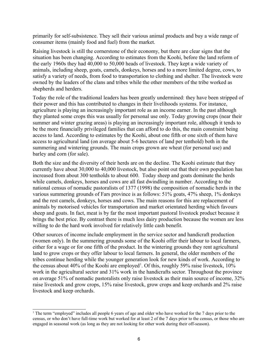primarily for self-subsistence. They sell their various animal products and buy a wide range of consumer items (mainly food and fuel) from the market.

Raising livestock is still the cornerstone of their economy, but there are clear signs that the situation has been changing. According to estimates from the Koohi, before the land reform of the early 1960s they had 40,000 to 50,000 heads of livestock. They kept a wide variety of animals, including sheep, goats, camels, donkeys, horses and to a more limited degree, cows, to satisfy a variety of needs, from food to transportation to clothing and shelter. The livestock were owned by the leaders of the clans and tribes while the other members of the tribe worked as shepherds and herders.

Today the role of the traditional leaders has been greatly undermined: they have been stripped of their power and this has contributed to changes in their livelihoods systems. For instance, agriculture is playing an increasingly important role as an income earner. In the past although they planted some crops this was usually for personal use only. Today growing crops (near their summer and winter grazing areas) is playing an increasingly important role, although it tends to be the more financially privileged families that can afford to do this, the main constraint being access to land. According to estimates by the Koohi, about one fifth or one sixth of them have access to agricultural land (on average about 5-6 hectares of land per tenthold) both in the summering and wintering grounds. The main crops grown are wheat (for personal use) and barley and corn (for sale).

Both the size and the diversity of their herds are on the decline. The Koohi estimate that they currently have about 30,000 to 40,000 livestock, but also point out that their own population has increased from about 300 tentholds to about 600. Today sheep and goats dominate the herds while camels, donkeys, horses and cows are all fast dwindling in number. According to the national census of nomadic pastoralists of 1377 (1998) the composition of nomadic herds in the various summering grounds of Fars province is as follows: 51% goats, 47% sheep, 1% donkeys and the rest camels, donkeys, horses and cows. The main reasons for this are replacement of animals by motorised vehicles for transportation and market orientated herding which favours sheep and goats. In fact, meat is by far the most important pastoral livestock product because it brings the best price. By contrast there is much less dairy production because the women are less willing to do the hard work involved for relatively little cash benefit.

Other sources of income include employment in the service sector and handicraft production (women only). In the summering grounds some of the Koohi offer their labour to local farmers, either for a wage or for one fifth of the product. In the wintering grounds they rent agricultural land to grow crops or they offer labour to local farmers. In general, the older members of the tribes continue herding while the younger generation look for new kinds of work. According to the census about 40% of the Koohi are employed<sup>[1](#page-5-0)</sup>. Of this, roughly 59% raise livestock,  $10\%$ work in the agricultural sector and 31% work in the handicrafts sector. Throughout the province on average 51% of nomadic pastoralists only raise livestock as their main source of income, 32% raise livestock and grow crops, 15% raise livestock, grow crops and keep orchards and 2% raise livestock and keep orchards.

<span id="page-5-0"></span><sup>&</sup>lt;sup>1</sup> The term "employed" includes all people 6 years of age and older who have worked for the 7 days prior to the census, or who don't have full-time work but worked for at least 2 of the 7 days prior to the census, or those who are engaged in seasonal work (as long as they are not looking for other work during their off-season).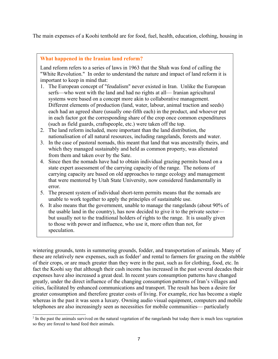The main expenses of a Koohi tenthold are for food, fuel, health, education, clothing, housing in

#### **What happened in the Iranian land reform?**

Land reform refers to a series of laws in 1963 that the Shah was fond of calling the "White Revolution." In order to understand the nature and impact of land reform it is important to keep in mind that:

- 1. The European concept of "feudalism" never existed in Iran. Unlike the European serfs—who went with the land and had no rights at all— Iranian agricultural systems were based on a concept more akin to collaborative management. Different elements of production (land, water, labour, animal traction and seeds) each had an agreed share (usually one-fifth each) in the product, and whoever put in each factor got the corresponding share of the crop once common expenditures (such as field guards, craftspeople, etc.) were taken off the top.
- 2. The land reform included, more important than the land distribution, the nationalisation of all natural resources, including rangelands, forests and water.
- 3. In the case of pastoral nomads, this meant that land that was ancestrally theirs, and which they managed sustainably and held as common property, was alienated from them and taken over by the Sate.
- 4. Since then the nomads have had to obtain individual grazing permits based on a state expert assessment of the carrying capacity of the range. The notions of carrying capacity are based on old approaches to range ecology and management that were mentored by Utah State University, now considered fundamentally in error.
- 5. The present system of individual short-term permits means that the nomads are unable to work together to apply the principles of sustainable use.
- 6. It also means that the government, unable to manage the rangelands (about 90% of the usable land in the country), has now decided to give it to the private sector but usually not to the traditional holders of rights to the range. It is usually given to those with power and influence, who use it, more often than not, for speculation.

wintering grounds, tents in summering grounds, fodder, and transportation of animals. Many of these are relatively new expenses, such as fodder<sup>[2](#page-6-0)</sup> and rental to farmers for grazing on the stubble of their crops, or are much greater than they were in the past, such as for clothing, food, etc. In fact the Koohi say that although their cash income has increased in the past several decades their expenses have also increased a great deal. In recent years consumption patterns have changed greatly, under the direct influence of the changing consumption patterns of Iran's villages and cities, facilitated by enhanced communications and transport. The result has been a desire for greater consumption and therefore greater costs of living. For example, rice has become a staple whereas in the past it was seen a luxury. Owning audio visual equipment, computers and mobile telephones are also increasingly seen as necessities for mobile communities— particularly

<span id="page-6-0"></span><sup>&</sup>lt;sup>2</sup> In the past the animals survived on the natural vegetation of the rangelands but today there is much less vegetation so they are forced to hand feed their animals.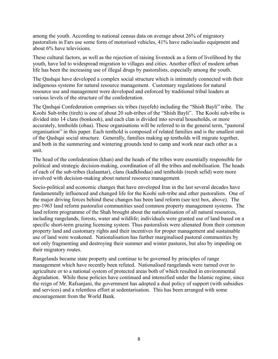among the youth. According to national census data on average about 26% of migratory pastoralists in Fars use some form of motorised vehicles, 41% have radio/audio equipment and about 6% have televisions.

These cultural factors, as well as the rejection of raising livestock as a form of livelihood by the youth, have led to widespread migration to villages and cities. Another effect of modern urban life has been the increasing use of illegal drugs by pastoralists, especially among the youth.

The Qashqai have developed a complex social structure which is intimately connected with their indigenous systems for natural resource management. Customary regulations for natural resource use and management were developed and enforced by traditional tribal leaders at various levels of the structure of the confederation.

The Qashqai Confederation comprises six tribes (tayefeh) including the "Shish Bayli" tribe. The Koohi Sub-tribe (tireh) is one of about 20 sub-tribes of the "Shish Bayli". The Koohi sub-tribe is divided into 14 clans (bonkooh), and each clan is divided into several households, or more accurately, tentholds (obaa). These organisations will be referred to in the general term, "pastoral organisation" in this paper. Each tenthold is composed of related families and is the smallest unit of the Qashqai social structure. Generally, families making up tentholds will migrate together, and both in the summering and wintering grounds tend to camp and work near each other as a unit.

The head of the confederation (khan) and the heads of the tribes were essentially responsible for political and strategic decision-making, coordination of all the tribes and mobilisation. The heads of each of the sub-tribes (kalaantar), clans (kadkhodaa) and tentholds (reesh sefid) were more involved with decision-making about natural resource management.

Socio-political and economic changes that have enveloped Iran in the last several decades have fundamentally influenced and changed life for the Koohi sub-tribe and other pastoralists. One of the major driving forces behind these changes has been land reform (see text box, above). The pre-1963 land reform pastoralist communities used common property management systems. The land reform programme of the Shah brought about the nationalisation of all natural resources, including rangelands, forests, water and wildlife; individuals were granted use of land based on a specific short-term grazing licensing system. Thus pastoralists were alienated from their common property land and customary rights and their incentives for proper management and sustainable use of land were weakened. Nationalisation has further marginalised pastoral communities by not only fragmenting and destroying their summer and winter pastures, but also by impeding on their migratory routes.

Rangelands became state property and continue to be governed by principles of range management which have recently been refuted. Nationalised rangelands were turned over to agriculture or to a national system of protected areas both of which resulted in environmental degradation. While these policies have continued and intensified under the Islamic regime, since the reign of Mr. Rafsanjani, the government has adopted a dual policy of support (with subsidies and services) and a relentless effort at sedentarisation. This has been arranged with some encouragement from the World Bank.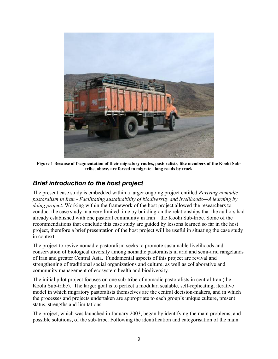

**Figure 1 Because of fragmentation of their migratory routes, pastoralists, like members of the Koohi Subtribe, above, are forced to migrate along roads by truck**

# <span id="page-8-0"></span>*Brief introduction to the host project*

The present case study is embedded within a larger ongoing project entitled *Reviving nomadic pastoralism in Iran - Facilitating sustainability of biodiversity and livelihoods—A learning by doing project*. Working within the framework of the host project allowed the researchers to conduct the case study in a very limited time by building on the relationships that the authors had already established with one pastoral community in Iran – the Koohi Sub-tribe. Some of the recommendations that conclude this case study are guided by lessons learned so far in the host project, therefore a brief presentation of the host project will be useful in situating the case study in context.

The project to revive nomadic pastoralism seeks to promote sustainable livelihoods and conservation of biological diversity among nomadic pastoralists in arid and semi-arid rangelands of Iran and greater Central Asia. Fundamental aspects of this project are revival and strengthening of traditional social organizations and culture, as well as collaborative and community management of ecosystem health and biodiversity.

The initial pilot project focuses on one sub-tribe of nomadic pastoralists in central Iran (the Koohi Sub-tribe). The larger goal is to perfect a modular, scalable, self-replicating, iterative model in which migratory pastoralists themselves are the central decision-makers, and in which the processes and projects undertaken are appropriate to each group's unique culture, present status, strengths and limitations.

The project, which was launched in January 2003, began by identifying the main problems, and possible solutions, of the sub-tribe. Following the identification and categorisation of the main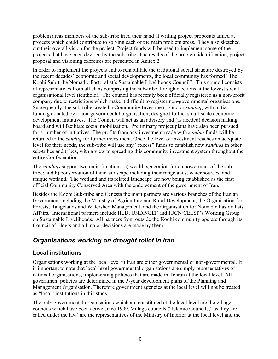problem areas members of the sub-tribe tried their hand at writing project proposals aimed at projects which could contribute to solving each of the main problem areas. They also sketched out their overall vision for the project. Project funds will be used to implement some of the projects that have been devised by the sub-tribe. The results of the problem identification, project proposal and visioning exercises are presented in Annex 2.

In order to implement the projects and to rehabilitate the traditional social structure destroyed by the recent decades' economic and social developments, the local community has formed "The Koohi Sub-tribe Nomadic Pastoralist's Sustainable Livelihoods Council". This council consists of representatives from all clans comprising the sub-tribe through elections at the lowest social organisational level (tenthold). The council has recently been officially registered as a non-profit company due to restrictions which make it difficult to register non-governmental organisations. Subsequently, the sub-tribe created a Community Investment Fund or *sanduq*, with initial funding donated by a non-governmental organisation, designed to fuel small-scale economic development initiatives. The Council will act as an advisory and (as needed) decision making board and will facilitate social mobilisation. Preliminary project plans have also been pursued for a number of initiatives. The profits from any investment made with *sanduq* funds will be returned to the *sanduq* for further investment. Once the level of investment reaches an adequate level for their needs, the sub-tribe will use any "excess" funds to establish new *sanduqs* in other sub-tribes and tribes, with a view to spreading this community investment system throughout the entire Confederation.

The *sanduqs* support two main functions: a) wealth generation for empowerment of the subtribe; and b) conservation of their landscape including their rangelands, water sources, and a unique wetland. The wetland and its related landscape are now being established as the first official Community Conserved Area with the endorsement of the government of Iran.

Besides the Koohi Sub-tribe and Cenesta the main partners are various branches of the Iranian Government including the Ministry of Agriculture and Rural Development, the Organisation for Forests, Rangelands and Watershed Management, and the Organisation for Nomadic Pastoralists Affairs. International partners include IIED, UNDP/GEF and IUCN/CEESP's Working Group on Sustainable Livelihoods. All partners from outside the Koohi community operate through its Council of Elders and all major decisions are made by them.

# <span id="page-9-0"></span>*Organisations working on drought relief in Iran*

## **Local institutions**

Organisations working at the local level in Iran are either governmental or non-governmental. It is important to note that local-level governmental organisations are simply representatives of national organisations, implementing policies that are made in Tehran at the local level. All government policies are determined in the 5-year development plans of the Planning and Management Organisation. Therefore government agencies at the local level will not be treated as "local" institutions in this study.

The only governmental organisations which are constituted at the local level are the village councils which have been active since 1999. Village councils ("Islamic Councils," as they are called under the law) are the representatives of the Ministry of Interior at the local level and the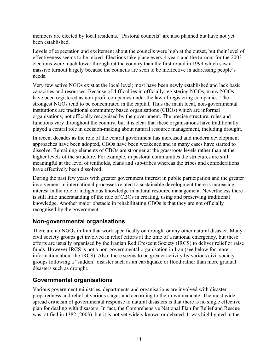members are elected by local residents. "Pastoral councils" are also planned but have not yet been established.

Levels of expectation and excitement about the councils were high at the outset, but their level of effectiveness seems to be mixed. Elections take place every 4 years and the turnout for the 2003 elections were much lower throughout the country than the first round in 1999 which saw a massive turnout largely because the councils are seen to be ineffective in addressing people's needs.

Very few active NGOs exist at the local level; most have been newly established and lack basic capacities and resources. Because of difficulties in officially registering NGOs, many NGOs have been registered as non-profit companies under the law of registering companies. The strongest NGOs tend to be concentrated in the capital. Thus the main local, non-governmental institutions are traditional community based organisations (CBOs) which are informal organisations, not officially recognised by the government. The precise structure, roles and functions vary throughout the country, but it is clear that these organisations have traditionally played a central role in decision-making about natural resource management, including drought.

In recent decades as the role of the central government has increased and modern development approaches have been adopted, CBOs have been weakened and in many cases have started to dissolve. Remaining elements of CBOs are stronger at the grassroots levels rather than at the higher levels of the structure. For example, in pastoral communities the structures are still meaningful at the level of tentholds, clans and sub-tribes whereas the tribes and confederations have effectively been dissolved.

During the past few years with greater government interest in public participation and the greater involvement in international processes related to sustainable development there is increasing interest in the role of indigenous knowledge in natural resource management. Nevertheless there is still little understanding of the role of CBOs in creating, using and preserving traditional knowledge. Another major obstacle in rehabilitating CBOs is that they are not officially recognised by the government.

### **Non-governmental organisations**

There are no NGOs in Iran that work specifically on drought or any other natural disaster. Many civil society groups get involved in relief efforts at the time of a national emergency, but these efforts are usually organised by the Iranian Red Crescent Society (IRCS) to deliver relief or raise funds. However IRCS is not a non-governmental organisation in Iran (see below for more information about the IRCS). Also, there seems to be greater activity by various civil society groups following a "sudden" disaster such as an earthquake or flood rather than more gradual disasters such as drought.

### **Governmental organisations**

Various government ministries, departments and organisations are involved with disaster preparedness and relief at various stages and according to their own mandate. The most widespread criticism of governmental response to natural disasters is that there is no single effective plan for dealing with disasters. In fact, the Comprehensive National Plan for Relief and Rescue was ratified in 1382 (2003), but it is not yet widely known or debated. It was highlighted in the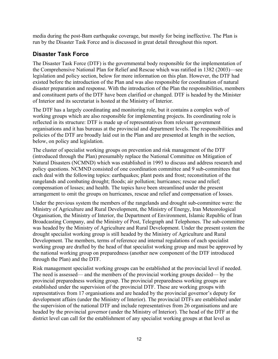media during the post-Bam earthquake coverage, but mostly for being ineffective. The Plan is run by the Disaster Task Force and is discussed in great detail throughout this report.

### **Disaster Task Force**

The Disaster Task Force (DTF) is the governmental body responsible for the implementation of the Comprehensive National Plan for Relief and Rescue which was ratified in 1382 (2003)—see legislation and policy section, below for more information on this plan. However, the DTF had existed before the introduction of the Plan and was also responsible for coordination of natural disaster preparation and response. With the introduction of the Plan the responsibilities, members and constituent parts of the DTF have been clarified or changed. DTF is headed by the Minister of Interior and its secretariat is hosted at the Ministry of Interior.

The DTF has a largely coordinating and monitoring role, but it contains a complex web of working groups which are also responsible for implementing projects. Its coordinating role is reflected in its structure: DTF is made up of representatives from relevant government organisations and it has bureaus at the provincial and department levels. The responsibilities and policies of the DTF are broadly laid out in the Plan and are presented at length in the section, below, on policy and legislation.

The cluster of specialist working groups on prevention and risk management of the DTF (introduced through the Plan) presumably replace the National Committee on Mitigation of Natural Disasters (NCMND) which was established in 1993 to discuss and address research and policy questions. NCMND consisted of one coordination committee and 9 sub-committees that each deal with the following topics: earthquakes; plant pests and frost; reconstitution of the rangelands and combating drought; floods; air pollution; hurricanes; rescue and relief; compensation of losses; and health. The topics have been streamlined under the present arrangement to omit the groups on hurricanes, rescue and relief and compensation of losses.

Under the previous system the members of the rangelands and drought sub-committee were: the Ministry of Agriculture and Rural Development, the Ministry of Energy, Iran Meteorological Organisation, the Ministry of Interior, the Department of Environment, Islamic Republic of Iran Broadcasting Company, and the Ministry of Post, Telegraph and Telephones. The sub-committee was headed by the Ministry of Agriculture and Rural Development. Under the present system the drought specialist working group is still headed by the Ministry of Agriculture and Rural Development. The members, terms of reference and internal regulations of each specialist working group are drafted by the head of that specialist working group and must be approved by the national working group on preparedness (another new component of the DTF introduced through the Plan) and the DTF.

Risk management specialist working groups can be established at the provincial level if needed. The need is assessed— and the members of the provincial working groups decided— by the provincial preparedness working group. The provincial preparedness working groups are established under the supervision of the provincial DTF. These are working groups with representatives from 17 organisations and are headed by the provincial governor's deputy for development affairs (under the Ministry of Interior). The provincial DTFs are established under the supervision of the national DTF and include representatives from 26 organisations and are headed by the provincial governor (under the Ministry of Interior). The head of the DTF at the district level can call for the establishment of any specialist working groups at that level as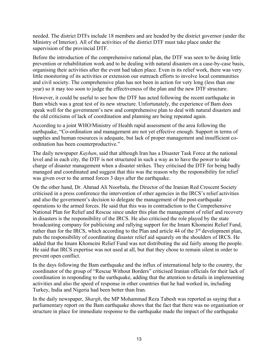needed. The district DTFs include 18 members and are headed by the district governor (under the Ministry of Interior). All of the activities of the district DTF must take place under the supervision of the provincial DTF.

Before the introduction of the comprehensive national plan, the DTF was seen to be doing little prevention or rehabilitation work and to be dealing with natural disasters on a case-by-case basis, organising their activities after the event had taken place. Even in its relief work, there was very little monitoring of its activities or extension our outreach efforts to involve local communities and civil society. The comprehensive plan has not been in action for very long (less than one year) so it may too soon to judge the effectiveness of the plan and the new DTF structure.

However, it could be useful to see how the DTF has acted following the recent earthquake in Bam which was a great test of its new structure. Unfortunately, the experience of Bam does speak well for the government's new and comprehensive plan to deal with natural disasters and the old criticisms of lack of coordination and planning are being repeated again.

According to a joint WHO/Ministry of Health rapid assessment of the area following the earthquake, "Co-ordination and management are not yet effective enough. Support in terms of supplies and human resources is adequate, but lack of proper management and insufficient coordination has been counterproductive."

The daily newspaper *Kayhan*, said that although Iran has a Disaster Task Force at the national level and in each city, the DTF is not structured in such a way as to have the power to take charge of disaster management when a disaster strikes. They criticised the DTF for being badly managed and coordinated and suggest that this was the reason why the responsibility for relief was given over to the armed forces 3 days after the earthquake.

On the other hand, Dr. Ahmad Ali Noorbala, the Director of the Iranian Red Crescent Society criticised in a press conference the intervention of other agencies in the IRCS's relief activities and also the government's decision to delegate the management of the post-earthquake operations to the armed forces. He said that this was in contradiction to the Comprehensive National Plan for Relief and Rescue since under this plan the management of relief and recovery in disasters is the responsibility of the IRCS. He also criticised the role played by the state broadcasting company for publicising and rallying support for the Imam Khomeini Relief Fund, rather than for the IRCS, which according to the Plan and article 44 of the  $3<sup>rd</sup>$  development plan, puts the responsibility of coordinating disaster relief aid squarely on the shoulders of IRCS. He added that the Imam Khomeini Relief Fund was not distributing the aid fairly among the people. He said that IRCS expertise was not used at all, but that they chose to remain silent in order to prevent open conflict.

In the days following the Bam earthquake and the influx of international help to the country, the coordinator of the group of "Rescue Without Borders" criticised Iranian officials for their lack of coordination in responding to the earthquake, adding that the attention to details in implementing activities and also the speed of response in other countries that he had worked in, including Turkey, India and Nigeria had been better than Iran.

In the daily newspaper, *Shargh*, the MP Mohammad Reza Tabesh was reported as saying that a parliamentary report on the Bam earthquake shows that the fact that there was no organisation or structure in place for immediate response to the earthquake made the impact of the earthquake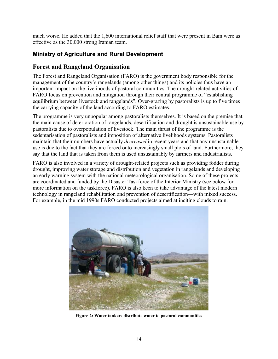much worse. He added that the 1,600 international relief staff that were present in Bam were as effective as the 30,000 strong Iranian team.

## **Ministry of Agriculture and Rural Development**

## **Forest and Rangeland Organisation**

The Forest and Rangeland Organisation (FARO) is the government body responsible for the management of the country's rangelands (among other things) and its policies thus have an important impact on the livelihoods of pastoral communities. The drought-related activities of FARO focus on prevention and mitigation through their central programme of "establishing equilibrium between livestock and rangelands". Over-grazing by pastoralists is up to five times the carrying capacity of the land according to FARO estimates.

The programme is very unpopular among pastoralists themselves. It is based on the premise that the main cause of deterioration of rangelands, desertification and drought is unsustainable use by pastoralists due to overpopulation of livestock. The main thrust of the programme is the sedentarisation of pastoralists and imposition of alternative livelihoods systems. Pastoralists maintain that their numbers have actually *decreased* in recent years and that any unsustainable use is due to the fact that they are forced onto increasingly small plots of land. Furthermore, they say that the land that is taken from them is used unsustainably by farmers and industrialists.

FARO is also involved in a variety of drought-related projects such as providing fodder during drought, improving water storage and distribution and vegetation in rangelands and developing an early warning system with the national meteorological organisation. Some of these projects are coordinated and funded by the Disaster Taskforce of the Interior Ministry (see below for more information on the taskforce). FARO is also keen to take advantage of the latest modern technology in rangeland rehabilitation and prevention of desertification—with mixed success. For example, in the mid 1990s FARO conducted projects aimed at inciting clouds to rain.



**Figure 2: Water tankers distribute water to pastoral communities**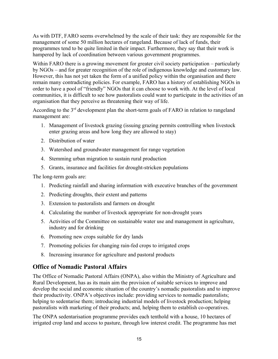As with DTF, FARO seems overwhelmed by the scale of their task: they are responsible for the management of some 50 million hectares of rangeland. Because of lack of funds, their programmes tend to be quite limited in their impact. Furthermore, they say that their work is hampered by lack of coordination between various government programmes.

Within FARO there is a growing movement for greater civil society participation – particularly by NGOs – and for greater recognition of the role of indigenous knowledge and customary law. However, this has not yet taken the form of a unified policy within the organisation and there remain many contradicting policies. For example, FARO has a history of establishing NGOs in order to have a pool of "friendly" NGOs that it can choose to work with. At the level of local communities, it is difficult to see how pastoralists could want to participate in the activities of an organisation that they perceive as threatening their way of life.

According to the  $3<sup>rd</sup>$  development plan the short-term goals of FARO in relation to rangeland management are:

- 1. Management of livestock grazing (issuing grazing permits controlling when livestock enter grazing areas and how long they are allowed to stay)
- 2. Distribution of water
- 3. Watershed and groundwater management for range vegetation
- 4. Stemming urban migration to sustain rural production
- 5. Grants, insurance and facilities for drought-stricken populations

The long-term goals are:

- 1. Predicting rainfall and sharing information with executive branches of the government
- 2. Predicting droughts, their extent and patterns
- 3. Extension to pastoralists and farmers on drought
- 4. Calculating the number of livestock appropriate for non-drought years
- 5. Activities of the Committee on sustainable water use and management in agriculture, industry and for drinking
- 6. Promoting new crops suitable for dry lands
- 7. Promoting policies for changing rain-fed crops to irrigated crops
- 8. Increasing insurance for agriculture and pastoral products

### **Office of Nomadic Pastoral Affairs**

The Office of Nomadic Pastoral Affairs (ONPA), also within the Ministry of Agriculture and Rural Development, has as its main aim the provision of suitable services to improve and develop the social and economic situation of the country's nomadic pastoralists and to improve their productivity. ONPA's objectives include: providing services to nomadic pastoralists; helping to sedentarise them; introducing industrial models of livestock production; helping pastoralists with marketing of their products; and, helping them to establish co-operatives.

The ONPA sedentarisation programme provides each tenthold with a house, 10 hectares of irrigated crop land and access to pasture, through low interest credit. The programme has met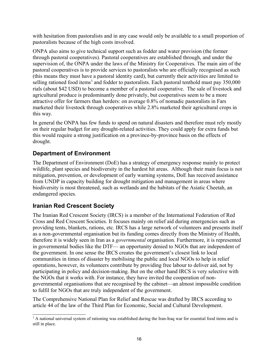with hesitation from pastoralists and in any case would only be available to a small proportion of pastoralists because of the high costs involved.

ONPA also aims to give technical support such as fodder and water provision (the former through pastoral cooperatives). Pastoral cooperatives are established through, and under the supervision of, the ONPA under the laws of the Ministry for Cooperatives. The main aim of the pastoral cooperatives is to provide services to pastoralists who are officially recognised as such (this means they must have a pastoral identity card), but currently their activities are limited to selling rationed food items<sup>[3](#page-15-0)</sup> and fodder to pastoralists. Each pastoral tenthold must pay 350,000 rials (about \$42 USD) to become a member of a pastoral cooperative. The sale of livestock and agricultural produce is predominantly done privately, but cooperatives seem to be a more attractive offer for farmers than herders: on average 0.8% of nomadic pastoralists in Fars marketed their livestock through cooperatives while 2.8% marketed their agricultural crops in this way.

In general the ONPA has few funds to spend on natural disasters and therefore must rely mostly on their regular budget for any drought-related activities. They could apply for extra funds but this would require a strong justification on a province-by-province basis on the effects of drought.

### **Department of Environment**

The Department of Environment (DoE) has a strategy of emergency response mainly to protect wildlife, plant species and biodiversity in the hardest hit areas. Although their main focus is not mitigation, prevention, or development of early warning systems, DoE has received assistance from UNDP in capacity building for drought mitigation and management in areas where biodiversity is most threatened, such as wetlands and the habitats of the Asiatic Cheetah, an endangered species.

### **Iranian Red Crescent Society**

The Iranian Red Crescent Society (IRCS) is a member of the International Federation of Red Cross and Red Crescent Societies. It focuses mainly on relief aid during emergencies such as providing tents, blankets, rations, etc. IRCS has a large network of volunteers and presents itself as a non-governmental organisation but its funding comes directly from the Ministry of Health, therefore it is widely seen in Iran as a *governmental* organisation. Furthermore, it is represented in governmental bodies like the DTF— an opportunity denied to NGOs that are independent of the government. In one sense the IRCS creates the government's closest link to local communities in times of disaster by mobilising the public and local NGOs to help in relief operations, however, its volunteers contribute by providing free labour to deliver aid, not by participating in policy and decision-making. But on the other hand IRCS is very selective with the NGOs that it works with. For instance, they have invited the cooperation of nongovernmental organisations that are recognised by the cabinet—an almost impossible condition to fulfil for NGOs that are truly independent of the government.

The Comprehensive National Plan for Relief and Rescue was drafted by IRCS according to article 44 of the law of the Third Plan for Economic, Social and Cultural Development.

<span id="page-15-0"></span><sup>&</sup>lt;sup>3</sup> A national universal system of rationing was established during the Iran-Iraq war for essential food items and is still in place.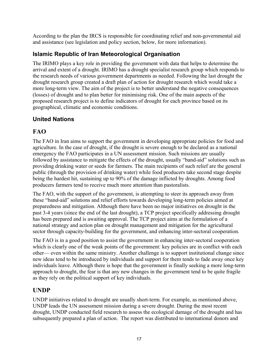According to the plan the IRCS is responsible for coordinating relief and non-governmental aid and assistance (see legislation and policy section, below, for more information).

# **Islamic Republic of Iran Meteorological Organisation**

The IRIMO plays a key role in providing the government with data that helps to determine the arrival and extent of a drought. IRIMO has a drought specialist research group which responds to the research needs of various government departments as needed. Following the last drought the drought research group created a draft plan of action for drought research which would take a more long-term view. The aim of the project is to better understand the negative consequences (losses) of drought and to plan better for minimising risk. One of the main aspects of the proposed research project is to define indicators of drought for each province based on its geographical, climatic and economic conditions.

# **United Nations**

# **FAO**

The FAO in Iran aims to support the government in developing appropriate policies for food and agriculture. In the case of drought, if the drought is severe enough to be declared as a national emergency the FAO participates in a UN assessment mission. Such missions are usually followed by assistance to mitigate the effects of the drought, usually "band-aid" solutions such as providing drinking water or seeds for farmers. The main recipients of such relief are the general public (through the provision of drinking water) while food producers take second stage despite being the hardest hit, sustaining up to 90% of the damage inflicted by droughts. Among food producers farmers tend to receive much more attention than pastoralists.

The FAO, with the support of the government, is attempting to steer its approach away from these "band-aid" solutions and relief efforts towards developing long-term policies aimed at preparedness and mitigation. Although there have been no major initiatives on drought in the past 3-4 years (since the end of the last drought), a TCP project specifically addressing drought has been prepared and is awaiting approval. The TCP project aims at the formulation of a national strategy and action plan on drought management and mitigation for the agricultural sector through capacity-building for the government, and enhancing inter-sectoral cooperation.

The FAO is in a good position to assist the government in enhancing inter-sectoral cooperation which is clearly one of the weak points of the government: key policies are in conflict with each other— even within the same ministry. Another challenge is to support institutional change since new ideas tend to be introduced by individuals and support for them tends to fade away once key individuals leave. Although there is hope that the government is finally seeking a more long-term approach to drought, the fear is that any new changes in the government tend to be quite fragile as they rely on the political support of key individuals.

# **UNDP**

UNDP initiatives related to drought are usually short-term. For example, as mentioned above, UNDP leads the UN assessment mission during a severe drought. During the most recent drought, UNDP conducted field research to assess the ecological damage of the drought and has subsequently prepared a plan of action. The report was distributed to international donors and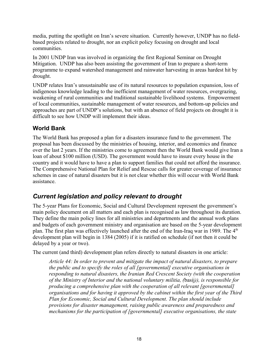media, putting the spotlight on Iran's severe situation. Currently however, UNDP has no fieldbased projects related to drought, nor an explicit policy focusing on drought and local communities.

In 2001 UNDP Iran was involved in organizing the first Regional Seminar on Drought Mitigation. UNDP has also been assisting the government of Iran to prepare a short-term programme to expand watershed management and rainwater harvesting in areas hardest hit by drought.

UNDP relates Iran's unsustainable use of its natural resources to population expansion, loss of indigenous knowledge leading to the inefficient management of water resources, overgrazing, weakening of rural communities and traditional sustainable livelihood systems. Empowerment of local communities, sustainable management of water resources, and bottom-up policies and approaches are part of UNDP's solutions, but with an absence of field projects on drought it is difficult to see how UNDP will implement their ideas.

### **World Bank**

The World Bank has proposed a plan for a disasters insurance fund to the government. The proposal has been discussed by the ministries of housing, interior, and economics and finance over the last 2 years. If the ministries come to agreement then the World Bank would give Iran a loan of about \$100 million (USD). The government would have to insure every house in the country and it would have to have a plan to support families that could not afford the insurance. The Comprehensive National Plan for Relief and Rescue calls for greater coverage of insurance schemes in case of natural disasters but it is not clear whether this will occur with World Bank assistance.

# <span id="page-17-0"></span>*Current legislation and policy relevant to drought*

The 5-year Plans for Economic, Social and Cultural Development represent the government's main policy document on all matters and each plan is recognised as law throughout its duration. They define the main policy lines for all ministries and departments and the annual work plans and budgets of each government ministry and organisation are based on the 5-year development plan. The first plan was effectively launched after the end of the Iran-Iraq war in 1989. The 4<sup>th</sup> development plan will begin in 1384 (2005) if it is ratified on schedule (if not then it could be delayed by a year or two).

The current (and third) development plan refers directly to natural disasters in one article:

*Article 44: In order to prevent and mitigate the impact of natural disasters, to prepare the public and to specify the roles of all [governmental] executive organisations in responding to natural disasters, the Iranian Red Crescent Society (with the cooperation of the Ministry of Interior and the national voluntary militia, (*basij*)), is responsible for producing a comprehensive plan with the cooperation of all relevant [governmental] organisations and for having it approved by the cabinet within the first year of the Third Plan for Economic, Social and Cultural Development. The plan should include provisions for disaster management, raising public awareness and preparedness and mechanisms for the participation of [governmental] executive organisations, the state*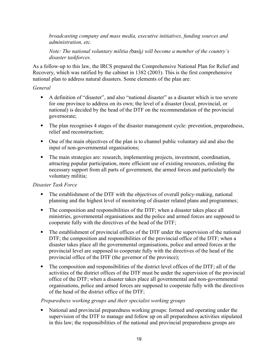*broadcasting company and mass media, executive initiatives, funding sources and administration, etc.*

*Note: The national voluntary militia (*basij*) will become a member of the country's disaster taskforces.*

As a follow-up to this law, the IRCS prepared the Comprehensive National Plan for Relief and Recovery, which was ratified by the cabinet in 1382 (2003). This is the first comprehensive national plan to address natural disasters. Some elements of the plan are:

#### *General*

- A definition of "disaster", and also "national disaster" as a disaster which is too severe for one province to address on its own; the level of a disaster (local, provincial, or national) is decided by the head of the DTF on the recommendation of the provincial governorate;
- The plan recognises 4 stages of the disaster management cycle: prevention, preparedness, relief and reconstruction;
- One of the main objectives of the plan is to channel public voluntary aid and also the input of non-governmental organisations;
- The main strategies are: research, implementing projects, investment, coordination, attracting popular participation, more efficient use of existing resources, enlisting the necessary support from all parts of government, the armed forces and particularly the voluntary militia;

### *Disaster Task Force*

- The establishment of the DTF with the objectives of overall policy-making, national planning and the highest level of monitoring of disaster related plans and programmes;
- The composition and responsibilities of the DTF; when a disaster takes place all ministries, governmental organisations and the police and armed forces are supposed to cooperate fully with the directives of the head of the DTF;
- The establishment of provincial offices of the DTF under the supervision of the national DTF; the composition and responsibilities of the provincial office of the DTF; when a disaster takes place all the governmental organisations, police and armed forces at the provincial level are supposed to cooperate fully with the directives of the head of the provincial office of the DTF (the governor of the province);
- The composition and responsibilities of the district level offices of the DTF; all of the activities of the district offices of the DTF must be under the supervision of the provincial office of the DTF; when a disaster takes place all governmental and non-governmental organisations, police and armed forces are supposed to cooperate fully with the directives of the head of the district office of the DTF;

### *Preparedness working groups and their specialist working groups*

 National and provincial preparedness working groups: formed and operating under the supervision of the DTF to manage and follow up on all preparedness activities stipulated in this law; the responsibilities of the national and provincial preparedness groups are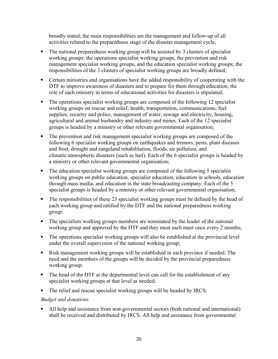broadly stated; the main responsibilities are the management and follow-up of all activities related to the preparedness stage of the disaster management cycle;

- The national preparedness working group will be assisted by 3 clusters of specialist working groups: the operations specialist working groups, the prevention and risk management specialist working groups, and the education specialist working groups; the responsibilities of the 3 clusters of specialist working groups are broadly defined;
- Certain ministries and organisations have the added responsibility of cooperating with the DTF to improve awareness of disasters and to prepare for them through education; the role of each ministry in terms of educational activities for disasters is stipulated;
- The operations specialist working groups are composed of the following 12 specialist working groups on rescue and relief; health, transportation, communications, fuel supplies, security and police, management of water, sewage and electricity, housing, agricultural and animal husbandry and industry and mines. Each of the 12 specialist groups is headed by a ministry or other relevant governmental organisation;
- The prevention and risk management specialist working groups are composed of the following 6 specialist working groups on earthquakes and tremors, pests, plant diseases and frost, drought and rangeland rehabilitation, floods, air pollution, and climatic/atmospheric disasters (such as hail). Each of the 6 specialist groups is headed by a ministry or other relevant governmental organisation;
- The education specialist working groups are composed of the following 5 specialist working groups on public education, specialist education, education in schools, education through mass media, and education in the state broadcasting company. Each of the 5 specialist groups is headed by a ministry or other relevant governmental organisation;
- The responsibilities of these 23 specialist working groups must be defined by the head of each working group and ratified by the DTF and the national preparedness working group;
- The specialists working groups members are nominated by the leader of the national working group and approved by the DTF and they must each meet once every 2 months;
- The operations specialist working groups will also be established at the provincial level under the overall supervision of the national working group;
- Risk management working groups will be established in each province if needed. The need and the members of the groups will be decided by the provincial preparedness working group;
- The head of the DTF at the departmental level can call for the establishment of any specialist working groups at that level as needed;
- The relief and rescue specialist working groups will be headed by IRCS;

### *Budget and donations*

 All help and assistance from non-governmental sectors (both national and international) shall be received and distributed by IRCS. All help and assistance from governmental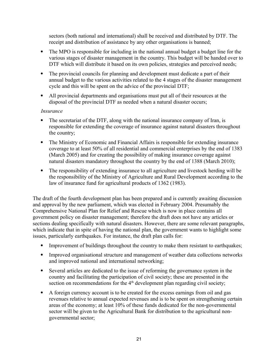sectors (both national and international) shall be received and distributed by DTF. The receipt and distribution of assistance by any other organisations is banned;

- The MPO is responsible for including in the national annual budget a budget line for the various stages of disaster management in the country. This budget will be handed over to DTF which will distribute it based on its own policies, strategies and perceived needs;
- The provincial councils for planning and development must dedicate a part of their annual budget to the various activities related to the 4 stages of the disaster management cycle and this will be spent on the advice of the provincial DTF;
- All provincial departments and organisations must put all of their resources at the disposal of the provincial DTF as needed when a natural disaster occurs;

#### *Insurance*

- The secretariat of the DTF, along with the national insurance company of Iran, is responsible for extending the coverage of insurance against natural disasters throughout the country;
- The Ministry of Economic and Financial Affairs is responsible for extending insurance coverage to at least 50% of all residential and commercial enterprises by the end of 1383 (March 2005) and for creating the possibility of making insurance coverage against natural disasters mandatory throughout the country by the end of 1388 (March 2010);
- The responsibility of extending insurance to all agriculture and livestock herding will be the responsibility of the Ministry of Agriculture and Rural Development according to the law of insurance fund for agricultural products of 1362 (1983).

The draft of the fourth development plan has been prepared and is currently awaiting discussion and approval by the new parliament, which was elected in February 2004. Presumably the Comprehensive National Plan for Relief and Rescue which is now in place contains all government policy on disaster management; therefore the draft does not have any articles or sections dealing specifically with natural disasters. However, there are some relevant paragraphs, which indicate that in spite of having the national plan, the government wants to highlight some issues, particularly earthquakes. For instance, the draft plan calls for:

- Improvement of buildings throughout the country to make them resistant to earthquakes;
- Improved organisational structure and management of weather data collections networks and improved national and international networking;
- Several articles are dedicated to the issue of reforming the governance system in the country and facilitating the participation of civil society; these are presented in the section on recommendations for the  $4<sup>th</sup>$  development plan regarding civil society;
- A foreign currency account is to be created for the excess earnings from oil and gas revenues relative to annual expected revenues and is to be spent on strengthening certain areas of the economy; at least 10% of these funds dedicated for the non-governmental sector will be given to the Agricultural Bank for distribution to the agricultural nongovernmental sector;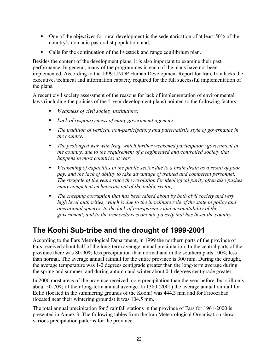- One of the objectives for rural development is the sedentarisation of at least 50% of the country's nomadic pastoralist population; and,
- Calls for the continuation of the livestock and range equilibrium plan.

Besides the content of the development plans, it is also important to examine their past performance. In general, many of the programmes in each of the plans have not been implemented. According to the 1999 UNDP Human Development Report for Iran, Iran lacks the executive, technical and information capacity required for the full successful implementation of the plans.

A recent civil society assessment of the reasons for lack of implementation of environmental laws (including the policies of the 5-year development plans) pointed to the following factors:

- *Weakness of civil society institutions;*
- *Lack of responsiveness of many government agencies;*
- *The tradition of vertical, non-participatory and paternalistic style of governance in the country;*
- *The prolonged war with Iraq, which further weakened participatory government in the country, due to the requirement of a regimented and controlled society that happens in most countries at war;*
- *Weakening of capacities in the public sector due to a brain drain as a result of poor pay, and the lack of ability to take advantage of trained and competent personnel. The struggle of the years since the revolution for ideological purity often also pushes many competent technocrats out of the public sector;*
- *The creeping corruption that has been talked about by both civil society and very high level authorities, which is due to the inordinate role of the state in policy and operational spheres, to the lack of transparency and accountability of the government, and to the tremendous economic poverty that has beset the country.*

# <span id="page-21-0"></span>**The Koohi Sub-tribe and the drought of 1999-2001**

According to the Fars Metrological Department, in 1999 the northern parts of the province of Fars received about half of the long-term average annual precipitation. In the central parts of the province there was 80-90% less precipitation than normal and in the southern parts 100% less than normal. The average annual rainfall for the entire province is 300 mm. During the drought, the average temperature was 1-2 degrees centigrade greater than the long-term average during the spring and summer, and during autumn and winter about 0-1 degrees centigrade greater.

In 2000 most areas of the province received more precipitation than the year before, but still only about 50-70% of their long-term annual average. In 1380 (2001) the average annual rainfall for Eqlid (located in the summering grounds of the Koohi) was 444.3 mm and for Firoozabad (located near their wintering grounds) it was 104.5 mm.

The total annual precipitation for 5 rainfall stations in the province of Fars for 1961-2000 is presented in Annex 3. The following tables from the Iran Meteorological Organisation show various precipitation patterns for the province.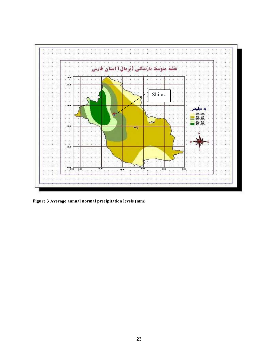

**Figure 3 Average annual normal precipitation levels (mm)**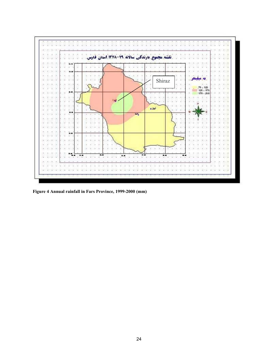

**Figure 4 Annual rainfall in Fars Province, 1999-2000 (mm)**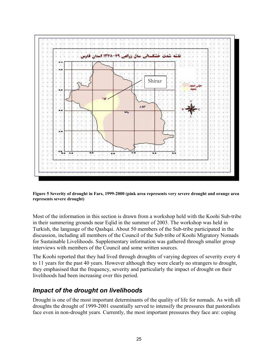

**Figure 5 Severity of drought in Fars, 1999-2000 (pink area represents very severe drought and orange area represents severe drought)**

Most of the information in this section is drawn from a workshop held with the Koohi Sub-tribe in their summering grounds near Eqlid in the summer of 2003. The workshop was held in Turkish, the language of the Qashqai. About 50 members of the Sub-tribe participated in the discussion, including all members of the Council of the Sub-tribe of Koohi Migratory Nomads for Sustainable Livelihoods. Supplementary information was gathered through smaller group interviews with members of the Council and some written sources.

The Koohi reported that they had lived through droughts of varying degrees of severity every 4 to 11 years for the past 40 years. However although they were clearly no strangers to drought, they emphasised that the frequency, severity and particularly the impact of drought on their livelihoods had been increasing over this period.

### <span id="page-24-0"></span>*Impact of the drought on livelihoods*

Drought is one of the most important determinants of the quality of life for nomads. As with all droughts the drought of 1999-2001 essentially served to intensify the pressures that pastoralists face even in non-drought years. Currently, the most important pressures they face are: coping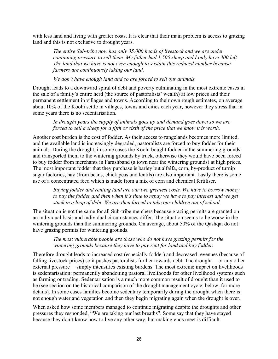with less land and living with greater costs. It is clear that their main problem is access to grazing land and this is not exclusive to drought years.

*The entire Sub-tribe now has only 35,000 heads of livestock and we are under continuing pressure to sell them. My father had 1,500 sheep and I only have 300 left. The land that we have is not even enough to sustain this reduced number because farmers are continuously taking our land.* 

*We don't have enough land and so are forced to sell our animals.*

Drought leads to a downward spiral of debt and poverty culminating in the most extreme cases in the sale of a family's entire herd (the source of pastoralists' wealth) at low prices and their permanent settlement in villages and towns. According to their own rough estimates, on average about 10% of the Koohi settle in villages, towns and cities each year, however they stress that in some years there is no sedentarisation.

#### *In drought years the supply of animals goes up and demand goes down so we are forced to sell a sheep for a fifth or sixth of the price that we know it is worth.*

Another cost burden is the cost of fodder. As their access to rangelands becomes more limited, and the available land is increasingly degraded, pastoralists are forced to buy fodder for their animals. During the drought, in some cases the Koohi bought fodder in the summering grounds and transported them to the wintering grounds by truck, otherwise they would have been forced to buy fodder from merchants in Farashband (a town near the wintering grounds) at high prices. The most important fodder that they purchase is barley but alfalfa, corn, by-product of turnip sugar factories, hay (from beans, chick peas and lentils) are also important. Lastly there is some use of a concentrated feed which is made from a mix of corn and chemical fertiliser.

*Buying fodder and renting land are our two greatest costs. We have to borrow money to buy the fodder and then when it's time to repay we have to pay interest and we get stuck in a loop of debt. We are then forced to take our children out of school.* 

The situation is not the same for all Sub-tribe members because grazing permits are granted on an individual basis and individual circumstances differ. The situation seems to be worse in the wintering grounds than the summering grounds. On average, about 50% of the Qashqai do not have grazing permits for wintering grounds.

#### *The most vulnerable people are those who do not have grazing permits for the wintering grounds because they have to pay rent for land and buy fodder.*

Therefore drought leads to increased cost (especially fodder) and decreased revenues (because of falling livestock prices) so it pushes pastoralists further towards debt. The drought— or any other external pressure— simply intensifies existing burdens. The most extreme impact on livelihoods is sedentarisation: permanently abandoning pastoral livelihoods for other livelihood systems such as farming or trading. Sedentarisation is a much more common result of drought than it used to be (see section on the historical comparison of the drought management cycle, below, for more details). In some cases families become sedentary temporarily during the drought when there is not enough water and vegetation and then they begin migrating again when the drought is over.

When asked how some members managed to continue migrating despite the droughts and other pressures they responded, "We are taking our last breaths". Some say that they have stayed because they don't know how to live any other way, but making ends meet is difficult.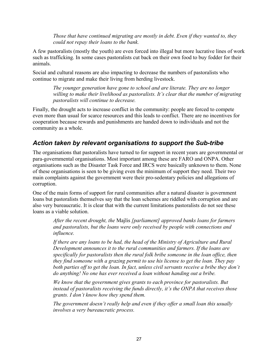*Those that have continued migrating are mostly in debt. Even if they wanted to, they could not repay their loans to the bank.* 

A few pastoralists (mostly the youth) are even forced into illegal but more lucrative lines of work such as trafficking. In some cases pastoralists cut back on their own food to buy fodder for their animals.

Social and cultural reasons are also impacting to decrease the numbers of pastoralists who continue to migrate and make their living from herding livestock.

> *The younger generation have gone to school and are literate. They are no longer willing to make their livelihood as pastoralists. It's clear that the number of migrating pastoralists will continue to decrease.*

Finally, the drought acts to increase conflict in the community: people are forced to compete even more than usual for scarce resources and this leads to conflict. There are no incentives for cooperation because rewards and punishments are handed down to individuals and not the community as a whole.

# <span id="page-26-0"></span>*Action taken by relevant organisations to support the Sub-tribe*

The organisations that pastoralists have turned to for support in recent years are governmental or para-governmental organisations. Most important among these are FARO and ONPA. Other organisations such as the Disaster Task Force and IRCS were basically unknown to them. None of these organisations is seen to be giving even the minimum of support they need. Their two main complaints against the government were their pro-sedentary policies and allegations of corruption.

One of the main forms of support for rural communities after a natural disaster is government loans but pastoralists themselves say that the loan schemes are riddled with corruption and are also very bureaucratic. It is clear that with the current limitations pastoralists do not see these loans as a viable solution.

*After the recent drought, the* Majlis *[parliament] approved banks loans for farmers and pastoralists, but the loans were only received by people with connections and influence.*

*If there are any loans to be had, the head of the Ministry of Agriculture and Rural Development announces it to the rural communities and farmers. If the loans are specifically for pastoralists then the rural folk bribe someone in the loan office, then they find someone with a grazing permit to use his license to get the loan. They pay both parties off to get the loan. In fact, unless civil servants receive a bribe they don't do anything! No one has ever received a loan without handing out a bribe.* 

*We know that the government gives grants to each province for pastoralists. But instead of pastoralists receiving the funds directly, it's the ONPA that receives those grants. I don't know how they spend them.* 

*The government doesn't really help and even if they offer a small loan this usually involves a very bureaucratic process.*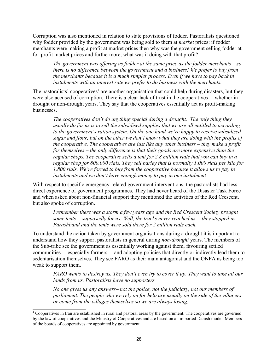Corruption was also mentioned in relation to state provisions of fodder. Pastoralists questioned why fodder provided by the government was being sold to them at *market* prices: if fodder merchants were making a profit at market prices then why was the government selling fodder at for-profit market prices and furthermore, what was it doing with that profit?

*The government was offering us fodder at the same price as the fodder merchants – so there is no difference between the government and a business! We prefer to buy from the merchants because it is a much simpler process. Even if we have to pay back in instalments with an interest rate we prefer to do business with the merchants.* 

The pastoralists' cooperatives<sup>[4](#page-27-0)</sup> are another organisation that could help during disasters, but they were also accused of corruption. There is a clear lack of trust in the cooperatives— whether in drought or non-drought years. They say that the cooperatives essentially act as profit-making businesses.

*The cooperatives don't do anything special during a drought. The only thing they usually do for us is to sell the subsidised supplies that we are all entitled to according to the government's ration system. On the one hand we're happy to receive subsidised sugar and flour, but on the other we don't know what they are doing with the profits of the cooperative. The cooperatives are just like any other business – they make a profit for themselves – the only difference is that their goods are more expensive than the regular shops. The cooperative sells a tent for 2.8 million rials that you can buy in a regular shop for 800,000 rials. They sell barley that is normally 1,000 rials per kilo for 1,800 rials. We're forced to buy from the cooperative because it allows us to pay in instalments and we don't have enough money to pay in one instalment.* 

With respect to specific emergency-related government interventions, the pastoralists had less direct experience of government programmes. They had never heard of the Disaster Task Force and when asked about non-financial support they mentioned the activities of the Red Crescent, but also spoke of corruption.

*I remember there was a storm a few years ago and the Red Crescent Society brought some tents— supposedly for us. Well, the trucks never reached us— they stopped in Farashband and the tents were sold there for 2 million rials each.* 

To understand the action taken by government organisations during a drought it is important to understand how they support pastoralists in general during *non-drought* years. The members of the Sub-tribe see the government as essentially working against them, favouring settled communities— especially farmers— and adopting policies that directly or indirectly lead them to sedentarisation themselves. They see FARO as their main antagonist and the ONPA as being too weak to support them.

*FARO wants to destroy us. They don't even try to cover it up. They want to take all our lands from us. Pastoralists have no supporters.*

*No one gives us any answers– not the police, not the judiciary, not our members of parliament. The people who we rely on for help are usually on the side of the villagers or come from the villages themselves so we are always losing.*

<span id="page-27-0"></span><sup>4</sup> Cooperatives in Iran are established in rural and pastoral areas by the government. The cooperatives are governed by the law of cooperatives and the Ministry of Cooperatives and are based on an imported Danish model. Members of the boards of cooperatives are appointed by government.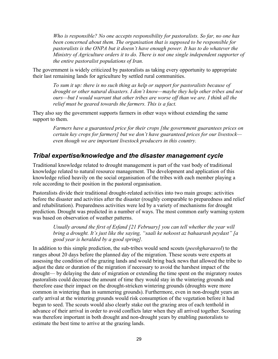*Who is responsible? No one accepts responsibility for pastoralists. So far, no one has been concerned about them. The organisation that is supposed to be responsible for pastoralists is the ONPA but it doesn't have enough power. It has to do whatever the Ministry of Agriculture orders it to do. There is not one single independent supporter of the entire pastoralist populations of Iran.* 

The government is widely criticized by pastoralists as taking every opportunity to appropriate their last remaining lands for agriculture by settled rural communities.

*To sum it up: there is no such thing as help or support for pastoralists because of drought or other natural disasters. I don't know—maybe they help other tribes and not ours—but I would warrant that other tribes are worse off than we are. I think all the relief must be geared towards the farmers. This is a fact.*

They also say the government supports farmers in other ways without extending the same support to them.

> *Farmers have a guaranteed price for their crops [the government guarantees prices on certain key crops for farmers] but we don't have guaranteed prices for our livestock even though we are important livestock producers in this country.*

# <span id="page-28-0"></span>*Tribal expertise/knowledge and the disaster management cycle*

Traditional knowledge related to drought management is part of the vast body of traditional knowledge related to natural resource management. The development and application of this knowledge relied heavily on the social organisation of the tribes with each member playing a role according to their position in the pastoral organisation.

Pastoralists divide their traditional drought-related activities into two main groups: activities before the disaster and activities after the disaster (roughly comparable to preparedness and relief and rehabilitation). Preparedness activities were led by a variety of mechanisms for drought prediction. Drought was predicted in a number of ways. The most common early warning system was based on observation of weather patterns.

*Usually around the first of Esfand [21 February] you can tell whether the year will bring a drought. It's just like the saying, "saali ke nekoost az bahaarash peydast" [a good year is heralded by a good spring].*

In addition to this simple prediction, the sub-tribes would send scouts (*peeshgharaavol*) to the ranges about 20 days before the planned day of the migration. These scouts were experts at assessing the condition of the grazing lands and would bring back news that allowed the tribe to adjust the date or duration of the migration if necessary to avoid the harshest impact of the drought— by delaying the date of migration or extending the time spent on the migratory routes pastoralists could decrease the amount of time they would stay in the wintering grounds and therefore ease their impact on the drought-stricken wintering grounds (droughts were more common in wintering than in summering grounds). Furthermore, even in non-drought years an early arrival at the wintering grounds would risk consumption of the vegetation before it had begun to seed. The scouts would also clearly stake out the grazing area of each tenthold in advance of their arrival in order to avoid conflicts later when they all arrived together. Scouting was therefore important in both drought and non-drought years by enabling pastoralists to estimate the best time to arrive at the grazing lands.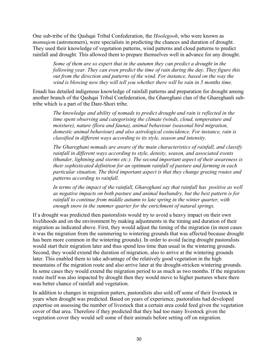One sub-tribe of the Qashqai Tribal Confederation, the *Hoolegooh*, who were known as *monnajem* (astronomers), were specialists in predicting the chances and duration of drought. They used their knowledge of vegetation patterns, wind patterns and cloud patterns to predict rainfall and drought. This allowed them to prepare themselves well in advance for any drought.

*Some of them are so expert that in the autumn they can predict a drought in the following year. They can even predict the time of rain during the day. They figure this out from the direction and patterns of the wind. For instance, based on the way the wind is blowing now they will tell you whether there will be rain in 5 months time.*

Emadi has detailed indigenous knowledge of rainfall patterns and preparation for drought among another branch of the Qashqai Tribal Confederation, the Ghareghani clan of the Ghareghanli subtribe which is a part of the Dare-Shori tribe.

*The knowledge and ability of nomads to predict drought and rain is reflected in the time spent observing and categorising the climate (winds, cloud, temperature and moisture), nature (flora and fauna), animal behaviour (seasonal bird migration, domestic animal behaviour) and also astrological coincidence. For instance, rain is classified in different ways according to its style, season and intensity.*

*The Ghareghani nomads are aware of the main characteristics of rainfall, and classify rainfall in different ways according to style, density, season, and associated events (thunder, lightning and storms etc.). The second important aspect of their awareness is their sophisticated definition for an optimum rainfall of pasture and farming in each particular situation. The third important aspect is that they change grazing routes and patterns according to rainfall.*

*In terms of the impact of the rainfall, Ghareghani say that rainfall has positive as well as negative impacts on both pasture and animal husbandry, but the best pattern is for rainfall to continue from middle autumn to late spring in the winter quarter, with enough snow in the summer quarter for the enrichment of natural springs.*

If a drought was predicted then pastoralists would try to avoid a heavy impact on their own livelihoods and on the environment by making adjustments in the timing and duration of their migration as indicated above. First, they would adjust the timing of the migration (in most cases it was the migration from the summering to wintering grounds that was affected because drought has been more common in the wintering grounds). In order to avoid facing drought pastoralists would start their migration later and thus spend less time than usual in the wintering grounds. Second, they would extend the duration of migration, also to arrive at the wintering grounds later. This enabled them to take advantage of the relatively good vegetation in the high mountains of the migration route and also arrive later at the drought-stricken wintering grounds. In some cases they would extend the migration period to as much as two months. If the migration route itself was also impacted by drought then they would move to higher pastures where there was better chance of rainfall and vegetation.

In addition to changes in migration patters, pastoralists also sold off some of their livestock in years when drought was predicted. Based on years of experience, pastoralists had developed expertise on assessing the number of livestock that a certain area could feed given the vegetation cover of that area. Therefore if they predicted that they had too many livestock given the vegetation cover they would sell some of their animals before setting off on migration.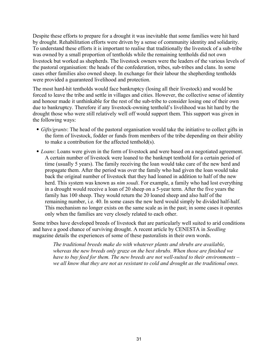Despite these efforts to prepare for a drought it was inevitable that some families were hit hard by drought. Rehabilitation efforts were driven by a sense of community identity and solidarity. To understand these efforts it is important to realise that traditionally the livestock of a sub-tribe was owned by a small proportion of tentholds while the remaining tentholds did not own livestock but worked as shepherds. The livestock owners were the leaders of the various levels of the pastoral organisation: the heads of the confederation, tribes, sub-tribes and clans. In some cases other families also owned sheep. In exchange for their labour the shepherding tentholds were provided a guaranteed livelihood and protection.

The most hard-hit tentholds would face bankruptcy (losing all their livestock) and would be forced to leave the tribe and settle in villages and cities. However, the collective sense of identity and honour made it unthinkable for the rest of the sub-tribe to consider losing one of their own due to bankruptcy. Therefore if any livestock-owning tenthold's livelihood was hit hard by the drought those who were still relatively well off would support them. This support was given in the following ways:

- *Gifts/grants*: The head of the pastoral organisation would take the initiative to collect gifts in the form of livestock, fodder or funds from members of the tribe depending on their ability to make a contribution for the affected tenthold(s).
- *Loans*: Loans were given in the form of livestock and were based on a negotiated agreement. A certain number of livestock were loaned to the bankrupt tenthold for a certain period of time (usually 5 years). The family receiving the loan would take care of the new herd and propagate them. After the period was over the family who had given the loan would take back the original number of livestock that they had loaned in addition to half of the new herd. This system was known as *nim soudi*. For example, a family who had lost everything in a drought would receive a loan of 20 sheep on a 5-year term. After the five years the family has 100 sheep. They would return the 20 loaned sheep and also half of the remaining number, i.e. 40. In some cases the new herd would simply be divided half-half. This mechanism no longer exists on the same scale as in the past; in some cases it operates only when the families are very closely related to each other.

Some tribes have developed breeds of livestock that are particularly well suited to arid conditions and have a good chance of surviving drought. A recent article by CENESTA in *Seedling* magazine details the experiences of some of these pastoralists in their own words.

*The traditional breeds make do with whatever plants and shrubs are available, whereas the new breeds only graze on the best shrubs. When those are finished we have to buy feed for them. The new breeds are not well-suited to their environments – we all know that they are not as resistant to cold and drought as the traditional ones.*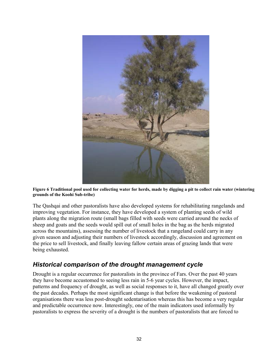

**Figure 6 Traditional pool used for collecting water for herds, made by digging a pit to collect rain water (wintering grounds of the Koohi Sub-tribe)**

The Qashqai and other pastoralists have also developed systems for rehabilitating rangelands and improving vegetation. For instance, they have developed a system of planting seeds of wild plants along the migration route (small bags filled with seeds were carried around the necks of sheep and goats and the seeds would spill out of small holes in the bag as the herds migrated across the mountains), assessing the number of livestock that a rangeland could carry in any given season and adjusting their numbers of livestock accordingly, discussion and agreement on the price to sell livestock, and finally leaving fallow certain areas of grazing lands that were being exhausted.

## <span id="page-31-0"></span>*Historical comparison of the drought management cycle*

Drought is a regular occurrence for pastoralists in the province of Fars. Over the past 40 years they have become accustomed to seeing less rain in 5-6 year cycles. However, the impact, patterns and frequency of drought, as well as social responses to it, have all changed greatly over the past decades. Perhaps the most significant change is that before the weakening of pastoral organisations there was less post-drought sedentarisation whereas this has become a very regular and predictable occurrence now. Interestingly, one of the main indicators used informally by pastoralists to express the severity of a drought is the numbers of pastoralists that are forced to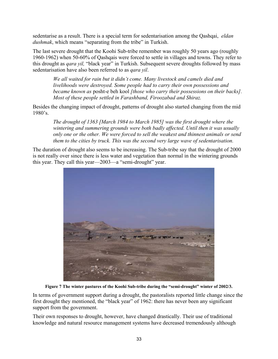sedentarise as a result. There is a special term for sedentarisation among the Qashqai, *eldan dushmak*, which means "separating from the tribe" in Turkish.

The last severe drought that the Koohi Sub-tribe remember was roughly 50 years ago (roughly 1960-1962) when 50-60% of Qashqais were forced to settle in villages and towns. They refer to this drought as *qara yil,* "black year" in Turkish. Subsequent severe droughts followed by mass sedentarisation have also been referred to as *qara yil*.

*We all waited for rain but it didn't come. Many livestock and camels died and livelihoods were destroyed. Some people had to carry their own possessions and became known as* posht-e beh kool *[those who carry their possessions on their backs]. Most of these people settled in Farashband, Firoozabad and Shiraz.* 

Besides the changing impact of drought, patterns of drought also started changing from the mid 1980's.

*The drought of 1363 [March 1984 to March 1985] was the first drought where the wintering and summering grounds were both badly affected. Until then it was usually only one or the other. We were forced to sell the weakest and thinnest animals or send them to the cities by truck. This was the second very large wave of sedentarisation.*

The duration of drought also seems to be increasing. The Sub-tribe say that the drought of 2000 is not really over since there is less water and vegetation than normal in the wintering grounds this year. They call this year—2003—a "semi-drought" year.



**Figure 7 The winter pastures of the Koohi Sub-tribe during the "semi-drought" winter of 2002/3.**

In terms of government support during a drought, the pastoralists reported little change since the first drought they mentioned, the "black year" of 1962: there has never been any significant support from the government.

Their own responses to drought, however, have changed drastically. Their use of traditional knowledge and natural resource management systems have decreased tremendously although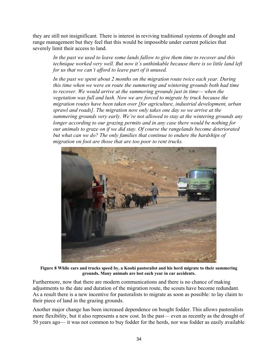they are still not insignificant. There is interest in reviving traditional systems of drought and range management but they feel that this would be impossible under current policies that severely limit their access to land.

*In the past we used to leave some lands fallow to give them time to recover and this technique worked very well. But now it's unthinkable because there is so little land left for us that we can't afford to leave part of it unused.* 

*In the past we spent about 2 months on the migration route twice each year. During this time when we were en route the summering and wintering grounds both had time to recover. We would arrive at the summering grounds just in time— when the vegetation was full and lush. Now we are forced to migrate by truck because the migration routes have been taken over [for agriculture, industrial development, urban sprawl and roads]. The migration now only takes one day so we arrive at the summering grounds very early. We're not allowed to stay at the wintering grounds any longer according to our grazing permits and in any case there would be nothing for our animals to graze on if we did stay. Of course the rangelands become deteriorated but what can we do? The only families that continue to endure the hardships of migration on foot are those that are too poor to rent trucks.*



**Figure 8 While cars and trucks speed by, a Koohi pastoralist and his herd migrate to their summering grounds. Many animals are lost each year in car accidents.**

Furthermore, now that there are modern communications and there is no chance of making adjustments to the date and duration of the migration route, the scouts have become redundant. As a result there is a new incentive for pastoralists to migrate as soon as possible: to lay claim to their piece of land in the grazing grounds.

Another major change has been increased dependence on bought fodder. This allows pastoralists more flexibility, but it also represents a new cost. In the past— even as recently as the drought of 50 years ago— it was not common to buy fodder for the herds, nor was fodder as easily available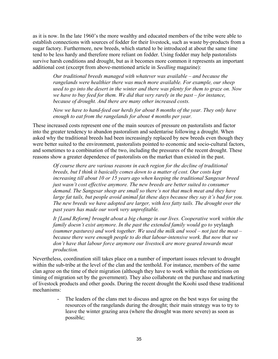as it is now. In the late 1960's the more wealthy and educated members of the tribe were able to establish connections with sources of fodder for their livestock, such as waste by-products from a sugar factory. Furthermore, new breeds, which started to be introduced at about the same time tend to be less hardy and therefore more reliant on fodder. Using fodder may help pastoralists survive harsh conditions and drought, but as it becomes more common it represents an important additional cost (excerpt from above-mentioned article in *Seedling* magazine):

*Our traditional breeds managed with whatever was available – and because the rangelands were healthier there was much more available. For example, our sheep used to go into the desert in the winter and there was plenty for them to graze on. Now we have to buy feed for them. We did that very rarely in the past – for instance, because of drought. And there are many other increased costs.*

*Now we have to hand-feed our herds for about 8 months of the year. They only have enough to eat from the rangelands for about 4 months per year.*

These increased costs represent one of the main sources of pressure on pastoralists and factor into the greater tendency to abandon pastoralism and sedentarise following a drought. When asked why the traditional breeds had been increasingly replaced by new breeds even though they were better suited to the environment, pastoralists pointed to economic and socio-cultural factors, and sometimes to a combination of the two, including the pressures of the recent drought. These reasons show a greater dependence of pastoralists on the market than existed in the past.

*Of course there are various reasons in each region for the decline of traditional breeds, but I think it basically comes down to a matter of cost. Our costs kept increasing till about 10 or 15 years ago when keeping the traditional Sangesar breed just wasn't cost effective anymore. The new breeds are better suited to consumer demand. The Sangesar sheep are small so there's not that much meat and they have large fat tails, but people avoid animal fat these days because they say it's bad for you. The new breeds we have adopted are larger, with less fatty tails. The drought over the past years has made our work very unprofitable.*

*It [Land Reform] brought about a big change in our lives. Cooperative work within the family doesn't exist anymore. In the past the extended family would go to* yeylaagh *(summer pastures) and work together. We used the milk and wool – not just the meat – because there were enough people to do that labour-intensive work. But now that we don't have that labour force anymore our livestock are more geared towards meat production.*

Nevertheless, coordination still takes place on a number of important issues relevant to drought within the sub-tribe at the level of the clan and the tenthold. For instance, members of the same clan agree on the time of their migration (although they have to work within the restrictions on timing of migration set by the government). They also collaborate on the purchase and marketing of livestock products and other goods. During the recent drought the Koohi used these traditional mechanisms:

> The leaders of the clans met to discuss and agree on the best ways for using the resources of the rangelands during the drought; their main strategy was to try to leave the winter grazing area (where the drought was more severe) as soon as possible;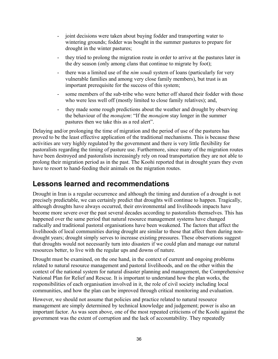- joint decisions were taken about buying fodder and transporting water to wintering grounds; fodder was bought in the summer pastures to prepare for drought in the winter pastures;
- they tried to prolong the migration route in order to arrive at the pastures later in the dry season (only among clans that continue to migrate by foot);
- there was a limited use of the *nim soudi* system of loans (particularly for very vulnerable families and among very close family members), but trust is an important prerequisite for the success of this system;
- some members of the sub-tribe who were better off shared their fodder with those who were less well off (mostly limited to close family relatives); and,
- they made some rough predictions about the weather and drought by observing the behaviour of the *monajem*: "If the *monajem* stay longer in the summer pastures then we take this as a red alert".

Delaying and/or prolonging the time of migration and the period of use of the pastures has proved to be the least effective application of the traditional mechanisms. This is because these activities are very highly regulated by the government and there is very little flexibility for pastoralists regarding the timing of pasture use. Furthermore, since many of the migration routes have been destroyed and pastoralists increasingly rely on road transportation they are not able to prolong their migration period as in the past. The Koohi reported that in drought years they even have to resort to hand-feeding their animals on the migration routes.

# <span id="page-35-0"></span>**Lessons learned and recommendations**

Drought in Iran is a regular occurrence and although the timing and duration of a drought is not precisely predictable, we can certainly predict that droughts will continue to happen. Tragically, although droughts have always occurred, their environmental and livelihoods impacts have become more severe over the past several decades according to pastoralists themselves. This has happened over the same period that natural resource management systems have changed radically and traditional pastoral organisations have been weakened. The factors that affect the livelihoods of local communities during drought are similar to those that affect them during nondrought years; drought simply serves to increase existing pressures. These observations suggest that droughts would not necessarily turn into disasters if we could plan and manage our natural resources better, to live with the regular ups and downs of nature.

Drought must be examined, on the one hand, in the context of current and ongoing problems related to natural resource management and pastoral livelihoods, and on the other within the context of the national system for natural disaster planning and management, the Comprehensive National Plan for Relief and Rescue. It is important to understand how the plan works, the responsibilities of each organisation involved in it, the role of civil society including local communities, and how the plan can be improved through critical monitoring and evaluation.

However, we should not assume that policies and practice related to natural resource management are simply determined by technical knowledge and judgement; power is also an important factor. As was seen above, one of the most repeated criticisms of the Koohi against the government was the extent of corruption and the lack of accountability. They repeatedly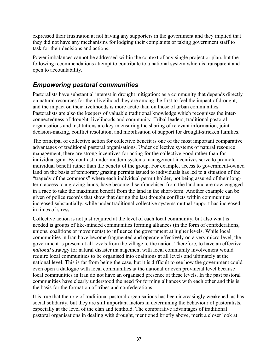expressed their frustration at not having any supporters in the government and they implied that they did not have any mechanisms for lodging their complaints or taking government staff to task for their decisions and actions.

Power imbalances cannot be addressed within the context of any single project or plan, but the following recommendations attempt to contribute to a national system which is transparent and open to accountability.

# <span id="page-36-0"></span>*Empowering pastoral communities*

Pastoralists have substantial interest in drought mitigation: as a community that depends directly on natural resources for their livelihood they are among the first to feel the impact of drought, and the impact on their livelihoods is more acute than on those of urban communities. Pastoralists are also the keepers of valuable traditional knowledge which recognises the interconnectedness of drought, livelihoods and community. Tribal leaders, traditional pastoral organisations and institutions are key in ensuring the sharing of relevant information, joint decision-making, conflict resolution, and mobilisation of support for drought-stricken families.

The principal of collective action for collective benefit is one of the most important comparative advantages of traditional pastoral organisations. Under collective systems of natural resource management, there are strong incentives for acting for the collective good rather than for individual gain. By contrast, under modern systems management incentives serve to promote individual benefit rather than the benefit of the group. For example, access to government-owned land on the basis of temporary grazing permits issued to individuals has led to a situation of the "tragedy of the commons" where each individual permit holder, not being assured of their longterm access to a grazing lands, have become disenfranchised from the land and are now engaged in a race to take the maximum benefit from the land in the short-term. Another example can be given of police records that show that during the last drought conflicts within communities increased substantially, while under traditional collective systems mutual support has increased in times of stress.

Collective action is not just required at the level of each local community, but also what is needed is groups of like-minded communities forming alliances (in the form of confederations, unions, coalitions or movements) to influence the government at higher levels. While local communities in Iran have become fragmented and operate effectively on a very micro level, the government is present at all levels from the village to the nation. Therefore, to have an effective *national* strategy for natural disaster management with local community involvement would require local communities to be organised into coalitions at all levels and ultimately at the national level. This is far from being the case, but it is difficult to see how the government could even open a dialogue with local communities at the national or even provincial level because local communities in Iran do not have an organised presence at these levels. In the past pastoral communities have clearly understood the need for forming alliances with each other and this is the basis for the formation of tribes and confederations.

It is true that the role of traditional pastoral organisations has been increasingly weakened, as has social solidarity, but they are still important factors in determining the behaviour of pastoralists, especially at the level of the clan and tenthold. The comparative advantages of traditional pastoral organisations in dealing with drought, mentioned briefly above, merit a closer look at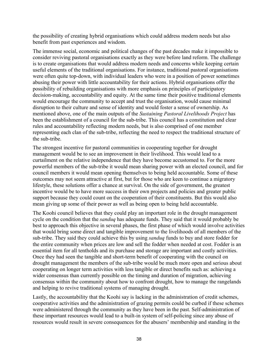the possibility of creating hybrid organisations which could address modern needs but also benefit from past experiences and wisdom.

The immense social, economic and political changes of the past decades make it impossible to consider reviving pastoral organisations exactly as they were before land reform. The challenge is to create organisations that would address modern needs and concerns while keeping certain useful elements of the traditional organisations. For instance, traditional pastoral organisations were often quite top-down, with individual leaders who were in a position of power sometimes abusing their power with little accountability for their actions. Hybrid organisations offer the possibility of rebuilding organisations with more emphasis on principles of participatory decision-making, accountability and equity. At the same time their positive traditional elements would encourage the community to accept and trust the organisation, would cause minimal disruption to their culture and sense of identity and would foster a sense of ownership. As mentioned above, one of the main outputs of the *Sustaining Pastoral Livelihoods Project* has been the establishment of a council for the sub-tribe. This council has a constitution and clear rules and accountability reflecting modern needs, but is also comprised of one member representing each clan of the sub-tribe, reflecting the need to respect the traditional structure of the sub-tribe.

The strongest incentive for pastoral communities in cooperating together for drought management would be to see an improvement in their livelihood. This would lead to a curtailment on the relative independence that they have become accustomed to. For the more powerful members of the sub-tribe it would mean sharing power with an elected council, and for council members it would mean opening themselves to being held accountable. Some of these outcomes may not seem attractive at first, but for those who are keen to continue a migratory lifestyle, these solutions offer a chance at survival. On the side of government, the greatest incentive would be to have more success in their own projects and policies and greater public support because they could count on the cooperation of their constituents. But this would also mean giving up some of their power as well as being open to being held accountable.

The Koohi council believes that they could play an important role in the drought management cycle on the condition that the *sanduq* has adequate funds. They said that it would probably be best to approach this objective in several phases, the first phase of which would involve activities that would bring some direct and tangible improvement to the livelihoods of all members of the sub-tribe. They said they could achieve this by using *sanduq* funds to buy and store fodder for the entire community when prices are low and sell the fodder when needed at cost. Fodder is an essential item for all tentholds and its purchase and storage are important and costly activities. Once they had seen the tangible and short-term benefit of cooperating with the council on drought management the members of the sub-tribe would be much more open and serious about cooperating on longer term activities with less tangible or direct benefits such as: achieving a wider consensus than currently possible on the timing and duration of migration, achieving consensus within the community about how to confront drought, how to manage the rangelands and helping to revive traditional systems of managing drought.

Lastly, the accountability that the Koohi say is lacking in the administration of credit schemes, cooperative activities and the administration of grazing permits could be curbed if these schemes were administered through the community as they have been in the past. Self-administration of these important resources would lead to a built-in system of self-policing since any abuse of resources would result in severe consequences for the abusers' membership and standing in the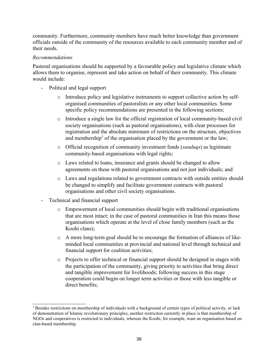community. Furthermore, community members have much better knowledge than government officials outside of the community of the resources available to each community member and of their needs.

#### *Recommendations*

Pastoral organisations should be supported by a favourable policy and legislative climate which allows them to organise, represent and take action on behalf of their community. This climate would include:

- Political and legal support
	- o Introduce policy and legislative instruments to support collective action by selforganised communities of pastoralists or any other local communities. Some specific policy recommendations are presented in the following sections;
	- o Introduce a single law for the official registration of local community-based civil society organisations (such as pastoral organisations), with clear processes for registration and the absolute minimum of restrictions on the structure, objectives and membership<sup>[5](#page-38-0)</sup> of the organisation placed by the government or the law;
	- o Official recognition of community investment funds (*sanduqs*) as legitimate community-based organisations with legal rights;
	- o Laws related to loans, insurance and grants should be changed to allow agreements on these with pastoral organisations and not just individuals; and
	- o Laws and regulations related to government contracts with outside entities should be changed to simplify and facilitate government contracts with pastoral organisations and other civil society organisations.
- Technical and financial support
	- o Empowerment of local communities should begin with traditional organisations that are most intact; in the case of pastoral communities in Iran this means those organisations which operate at the level of close family members (such as the Koohi clans);
	- o A more long-term goal should be to encourage the formation of alliances of likeminded local communities at provincial and national level through technical and financial support for coalition activities;
	- o Projects to offer technical or financial support should be designed in stages with the participation of the community, giving priority to activities that bring direct and tangible improvement for livelihoods; following success in this stage cooperation could begin on longer term activities or those with less tangible or direct benefits;

<span id="page-38-0"></span><sup>5</sup> Besides restricitons on membership of individuals with a background of certain types of political activity, or lack of demonstration of Islamic revolutionary principles, another restriciton currently in place is that membership of NGOs and cooperatives is restricted to individuals, whereas the Koohi, for example, want an organisation based on clan-based membership.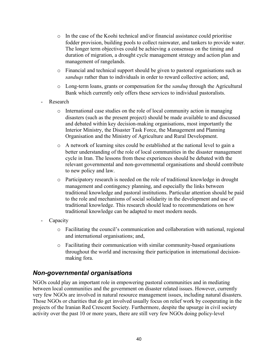- $\circ$  In the case of the Koohi technical and/or financial assistance could prioritise fodder provision, building pools to collect rainwater, and tankers to provide water. The longer term objectives could be achieving a consensus on the timing and duration of migration, a drought cycle management strategy and action plan and management of rangelands.
- o Financial and technical support should be given to pastoral organisations such as *sanduqs* rather than to individuals in order to reward collective action; and,
- o Long-term loans, grants or compensation for the *sanduq* through the Agricultural Bank which currently only offers these services to individual pastoralists.
- **Research** 
	- $\circ$  International case studies on the role of local community action in managing disasters (such as the present project) should be made available to and discussed and debated within key decision-making organisations, most importantly the Interior Ministry, the Disaster Task Force, the Management and Planning Organisation and the Ministry of Agriculture and Rural Development.
	- o A network of learning sites could be established at the national level to gain a better understanding of the role of local communities in the disaster management cycle in Iran. The lessons from these experiences should be debated with the relevant governmental and non-governmental organisations and should contribute to new policy and law.
	- o Participatory research is needed on the role of traditional knowledge in drought management and contingency planning, and especially the links between traditional knowledge and pastoral institutions. Particular attention should be paid to the role and mechanisms of social solidarity in the development and use of traditional knowledge. This research should lead to recommendations on how traditional knowledge can be adapted to meet modern needs.
- Capacity
	- o Facilitating the council's communication and collaboration with national, regional and international organisations; and,
	- $\circ$  Facilitating their communication with similar community-based organisations throughout the world and increasing their participation in international decisionmaking fora.

# <span id="page-39-0"></span>*Non-governmental organisations*

NGOs could play an important role in empowering pastoral communities and in mediating between local communities and the government on disaster related issues. However, currently very few NGOs are involved in natural resource management issues, including natural disasters. Those NGOs or charities that do get involved usually focus on relief work by cooperating in the projects of the Iranian Red Crescent Society. Furthermore, despite the upsurge in civil society activity over the past 10 or more years, there are still very few NGOs doing policy-level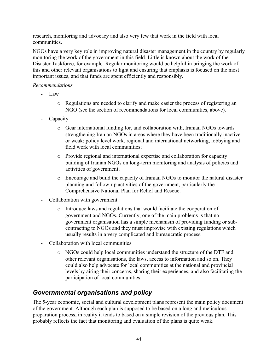research, monitoring and advocacy and also very few that work in the field with local communities.

NGOs have a very key role in improving natural disaster management in the country by regularly monitoring the work of the government in this field. Little is known about the work of the Disaster Taskforce, for example. Regular monitoring would be helpful in bringing the work of this and other relevant organisations to light and ensuring that emphasis is focused on the most important issues, and that funds are spent efficiently and responsibly.

#### *Recommendations*

- Law
	- o Regulations are needed to clarify and make easier the process of registering an NGO (see the section of recommendations for local communities, above).
- Capacity
	- o Gear international funding for, and collaboration with, Iranian NGOs towards strengthening Iranian NGOs in areas where they have been traditionally inactive or weak: policy level work, regional and international networking, lobbying and field work with local communities;
	- o Provide regional and international expertise and collaboration for capacity building of Iranian NGOs on long-term monitoring and analysis of policies and activities of government;
	- o Encourage and build the capacity of Iranian NGOs to monitor the natural disaster planning and follow-up activities of the government, particularly the Comprehensive National Plan for Relief and Rescue.
- Collaboration with government
	- o Introduce laws and regulations that would facilitate the cooperation of government and NGOs. Currently, one of the main problems is that no government organisation has a simple mechanism of providing funding or subcontracting to NGOs and they must improvise with existing regulations which usually results in a very complicated and bureaucratic process.
- Collaboration with local communities
	- o NGOs could help local communities understand the structure of the DTF and other relevant organisations, the laws, access to information and so on. They could also help advocate for local communities at the national and provincial levels by airing their concerns, sharing their experiences, and also facilitating the participation of local communities.

# <span id="page-40-0"></span>*Governmental organisations and policy*

The 5-year economic, social and cultural development plans represent the main policy document of the government. Although each plan is supposed to be based on a long and meticulous preparation process, in reality it tends to based on a simple revision of the previous plan. This probably reflects the fact that monitoring and evaluation of the plans is quite weak.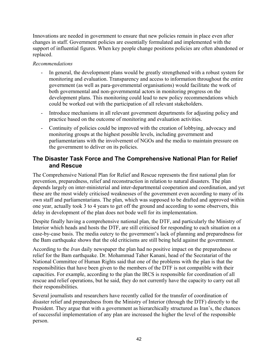Innovations are needed in government to ensure that new policies remain in place even after changes in staff. Government policies are essentially formulated and implemented with the support of influential figures. When key people change positions policies are often abandoned or replaced.

#### *Recommendations*

- In general, the development plans would be greatly strengthened with a robust system for monitoring and evaluation. Transparency and access to information throughout the entire government (as well as para-governmental organisations) would facilitate the work of both governmental and non-governmental actors in monitoring progress on the development plans. This monitoring could lead to new policy recommendations which could be worked out with the participation of all relevant stakeholders.
- Introduce mechanisms in all relevant government departments for adjusting policy and practice based on the outcome of monitoring and evaluation activities.
- Continuity of policies could be improved with the creation of lobbying, advocacy and monitoring groups at the highest possible levels, including government and parliamentarians with the involvement of NGOs and the media to maintain pressure on the government to deliver on its policies.

### **The Disaster Task Force and The Comprehensive National Plan for Relief and Rescue**

The Comprehensive National Plan for Relief and Rescue represents the first national plan for prevention, preparedness, relief and reconstruction in relation to natural disasters. The plan depends largely on inter-ministerial and inter-departmental cooperation and coordination, and yet these are the most widely criticised weaknesses of the government even according to many of its own staff and parliamentarians. The plan, which was supposed to be drafted and approved within one year, actually took 3 to 4 years to get off the ground and according to some observers, this delay in development of the plan does not bode well for its implementation.

Despite finally having a comprehensive national plan, the DTF, and particularly the Ministry of Interior which heads and hosts the DTF, are still criticised for responding to each situation on a case-by-case basis. The media outcry to the government's lack of planning and preparedness for the Bam earthquake shows that the old criticisms are still being held against the government.

According to the *Iran* daily newspaper the plan had no positive impact on the preparedness or relief for the Bam earthquake. Dr. Mohammad Taher Kanani, head of the Secratariat of the National Committee of Human Rights said that one of the problems with the plan is that the responsibilities that have been given to the members of the DTF is not compatible with their capacities. For example, according to the plan the IRCS is responsible for coordination of all rescue and relief operations, but he said, they do not currently have the capacity to carry out all their responsibilities.

Several journalists and researchers have recently called for the transfer of coordination of disaster relief and preparedness from the Ministry of Interior (through the DTF) directly to the President. They argue that with a government as hierarchically structured as Iran's, the chances of successful implementation of any plan are increased the higher the level of the responsible person.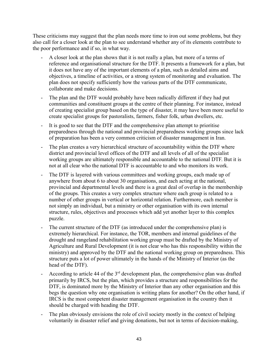These criticisms may suggest that the plan needs more time to iron out some problems, but they also call for a closer look at the plan to see understand whether any of its elements contribute to the poor performance and if so, in what way.

- A closer look at the plan shows that it is not really a plan, but more of a terms of reference and organisational structure for the DTF. It presents a framework for a plan, but it does not have any of the important elements of a plan, such as detailed aims and objectives, a timeline of activities, or a strong system of monitoring and evaluation. The plan does not specify sufficiently how the various parts of the DTF communicate, collaborate and make decisions.
- The plan and the DTF would probably have been radically different if they had put communities and constituent groups at the centre of their planning. For instance, instead of creating specialist group based on the type of disaster, it may have been more useful to create specialist groups for pastoralists, farmers, fisher folk, urban dwellers, etc.
- It is good to see that the DTF and the comprehensive plan attempt to prioritise preparedness through the national and provincial preparedness working groups since lack of preparation has been a very common criticism of disaster management in Iran.
- The plan creates a very hierarchical structure of accountability within the DTF where district and provincial level offices of the DTF and all levels of all of the specialist working groups are ultimately responsible and accountable to the national DTF. But it is not at all clear who the national DTF is accountable to and who monitors its work.
- The DTF is layered with various committees and working groups, each made up of anywhere from about 6 to about 30 organisations, and each acting at the national, provincial and departmental levels and there is a great deal of overlap in the membership of the groups. This creates a very complex structure where each group is related to a number of other groups in vertical or horizontal relation. Furthermore, each member is not simply an individual, but a ministry or other organisation with its own internal structure, rules, objectives and processes which add yet another layer to this complex puzzle.
- The current structure of the DTF (as introduced under the comprehensive plan) is extremely hierarchical. For instance, the TOR, members and internal guidelines of the drought and rangeland rehabilitation working group must be drafted by the Ministry of Agriculture and Rural Development (it is not clear who has this responsibility within the ministry) and approved by the DTF and the national working group on preparedness. This structure puts a lot of power ultimately in the hands of the Ministry of Interior (as the head of the DTF).
- According to article 44 of the  $3<sup>rd</sup>$  development plan, the comprehensive plan was drafted primarily by IRCS, but the plan, which provides a structure and responsibilities for the DTF, is dominated more by the Ministry of Interior than any other organisation and this begs the question why one organisation is writing plans for another? On the other hand, if IRCS is the most competent disaster management organisation in the country then it should be charged with heading the DTF.
- The plan obviously envisions the role of civil society mostly in the context of helping voluntarily in disaster relief and giving donations, but not in terms of decision-making,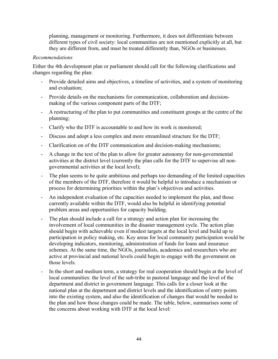planning, management or monitoring. Furthermore, it does not differentiate between different types of civil society: local communities are not mentioned explicitly at all, but they are different from, and must be treated differently than, NGOs or businesses.

#### *Recommendations*

Either the 4th development plan or parliament should call for the following clarifications and changes regarding the plan:

- Provide detailed aims and objectives, a timeline of activities, and a system of monitoring and evaluation;
- Provide details on the mechanisms for communication, collaboration and decisionmaking of the various component parts of the DTF;
- A restructuring of the plan to put communities and constituent groups at the centre of the planning;
- Clarify who the DTF is accountable to and how its work is monitored;
- Discuss and adopt a less complex and more streamlined structure for the DTF;
- Clarification on of the DTF communication and decision-making mechanisms;
- A change in the text of the plan to allow for greater autonomy for non-governmental activities at the district level (currently the plan calls for the DTF to supervise all nongovernmental activities at the local level);
- The plan seems to be quite ambitious and perhaps too demanding of the limited capacities of the members of the DTF, therefore it would be helpful to introduce a mechanism or process for determining priorities within the plan's objectives and activities.
- An independent evaluation of the capacities needed to implement the plan, and those currently available within the DTF, would also be helpful in identifying potential problem areas and opportunities for capacity building.
- The plan should include a call for a strategy and action plan for increasing the involvement of local communities in the disaster management cycle. The action plan should begin with achievable even if modest targets at the local level and build up to participation in policy making, etc. Key areas for local community participation would be developing indicators, monitoring, administration of funds for loans and insurance schemes. At the same time, the NGOs, journalists, academics and researchers who are active at provincial and national levels could begin to engage with the government on those levels.
- In the short and medium term, a strategy for real cooperation should begin at the level of local communities: the level of the sub-tribe in pastoral language and the level of the department and district in government language. This calls for a closer look at the national plan at the department and district levels and the identification of entry points into the existing system, and also the identification of changes that would be needed to the plan and how those changes could be made. The table, below, summarises some of the concerns about working with DTF at the local level: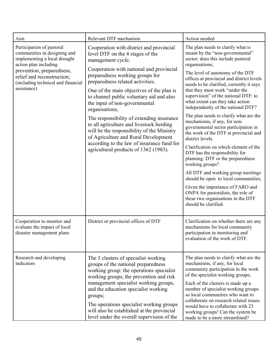| Aim                                                                                                                                             | Relevant DTF mechanism                                                                                                                                                                                                                                             | Action needed                                                                                                                                                                                                                                                                                                                                                                                                             |  |
|-------------------------------------------------------------------------------------------------------------------------------------------------|--------------------------------------------------------------------------------------------------------------------------------------------------------------------------------------------------------------------------------------------------------------------|---------------------------------------------------------------------------------------------------------------------------------------------------------------------------------------------------------------------------------------------------------------------------------------------------------------------------------------------------------------------------------------------------------------------------|--|
| Participation of pastoral<br>communities in designing and<br>implementing a local drought<br>action plan including<br>prevention, preparedness, | Cooperation with district and provincial<br>level DTF on the 4 stages of the<br>management cycle;<br>Cooperation with national and provincial                                                                                                                      | The plan needs to clarify what is<br>meant by the "non-governmental"<br>sector: does this include pastoral<br>organisations;<br>The level of autonomy of the DTF                                                                                                                                                                                                                                                          |  |
| relief and reconstruction;<br>(including technical and financial<br>assistance)                                                                 | preparedness working groups for<br>preparedness related activities;<br>One of the main objectives of the plan is<br>to channel public voluntary aid and also<br>the input of non-governmental<br>organisations;                                                    | offices at provincial and district levels<br>needs to be clarified, currently it says<br>that they must work "under the<br>supervision" of the national DTF: to<br>what extent can they take action<br>independently of the national DTF?                                                                                                                                                                                 |  |
|                                                                                                                                                 | The responsibility of extending insurance<br>to all agriculture and livestock herding<br>will be the responsibility of the Ministry<br>of Agriculture and Rural Development<br>according to the law of insurance fund for<br>agricultural products of 1362 (1983). | The plan needs to clarify what are the<br>mechanisms, if any, for non-<br>governmental sector participation in<br>the work of the DTF at provincial and<br>district levels.                                                                                                                                                                                                                                               |  |
|                                                                                                                                                 |                                                                                                                                                                                                                                                                    | Clarification on which element of the<br>DTF has the responsibility for<br>planning: DTF or the preparedness<br>working groups?                                                                                                                                                                                                                                                                                           |  |
|                                                                                                                                                 |                                                                                                                                                                                                                                                                    | All DTF and working group meetings<br>should be open to local communities;                                                                                                                                                                                                                                                                                                                                                |  |
|                                                                                                                                                 |                                                                                                                                                                                                                                                                    | Given the importance of FARO and<br>ONPA for pastoralists, the role of<br>these two organisations in the DTF<br>should be clarified.                                                                                                                                                                                                                                                                                      |  |
| Cooperation to monitor and<br>evaluate the impact of local<br>disaster management plans                                                         | District or provincial offices of DTF                                                                                                                                                                                                                              | Clarification on whether there are any<br>mechanisms for local community<br>participation in monitoring and<br>evaluation of the work of DTF.                                                                                                                                                                                                                                                                             |  |
| Research and developing<br>indicators                                                                                                           | The 3 clusters of specialist working<br>groups of the national preparedness<br>working group: the operations specialist<br>working groups, the prevention and risk<br>management specialist working groups,<br>and the education specialist working                | The plan needs to clarify what are the<br>mechanisms, if any, for local<br>community participation in the work<br>of the specialist working groups;<br>Each of the clusters is made up a<br>number of specialist working groups<br>so local communities who want to<br>collaborate on research related issues<br>would have to collaborate with 23<br>working groups! Can the system be<br>made to be a more streamlined? |  |
|                                                                                                                                                 | groups;<br>The operations specialist working groups<br>will also be established at the provincial<br>level under the overall supervision of the                                                                                                                    |                                                                                                                                                                                                                                                                                                                                                                                                                           |  |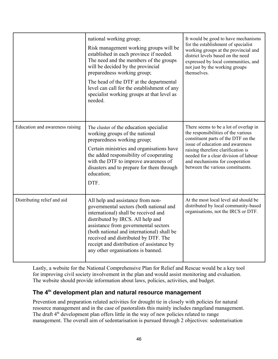|                                 | national working group;<br>Risk management working groups will be<br>established in each province if needed.<br>The need and the members of the groups<br>will be decided by the provincial<br>preparedness working group;<br>The head of the DTF at the departmental<br>level can call for the establishment of any<br>specialist working groups at that level as<br>needed. | It would be good to have mechanisms<br>for the establishment of specialist<br>working groups at the provincial and<br>district levels based on the need<br>expressed by local communities, and<br>not just by the working groups<br>themselves.                                                               |
|---------------------------------|-------------------------------------------------------------------------------------------------------------------------------------------------------------------------------------------------------------------------------------------------------------------------------------------------------------------------------------------------------------------------------|---------------------------------------------------------------------------------------------------------------------------------------------------------------------------------------------------------------------------------------------------------------------------------------------------------------|
| Education and awareness raising | The cluster of the education specialist<br>working groups of the national<br>preparedness working group;<br>Certain ministries and organisations have<br>the added responsibility of cooperating<br>with the DTF to improve awareness of<br>disasters and to prepare for them through<br>education;<br>DTF.                                                                   | There seems to be a lot of overlap in<br>the responsibilities of the various<br>constituent parts of the DTF on the<br>issue of education and awareness<br>raising therefore clarification is<br>needed for a clear division of labour<br>and mechanisms for cooperation<br>between the various constituents. |
| Distributing relief and aid     | All help and assistance from non-<br>governmental sectors (both national and<br>international) shall be received and<br>distributed by IRCS. All help and<br>assistance from governmental sectors<br>(both national and international) shall be<br>received and distributed by DTF. The<br>receipt and distribution of assistance by<br>any other organisations is banned.    | At the most local level aid should be<br>distributed by local community-based<br>organisations, not the IRCS or DTF.                                                                                                                                                                                          |

Lastly, a website for the National Comprehensive Plan for Relief and Rescue would be a key tool for improving civil society involvement in the plan and would assist monitoring and evaluation. The website should provide information about laws, policies, activities, and budget.

### **The 4th development plan and natural resource management**

Prevention and preparation related activities for drought tie in closely with policies for natural resource management and in the case of pastoralists this mainly includes rangeland management. The draft  $4<sup>th</sup>$  development plan offers little in the way of new policies related to range management. The overall aim of sedentarisation is pursued through 2 objectives: sedentarisation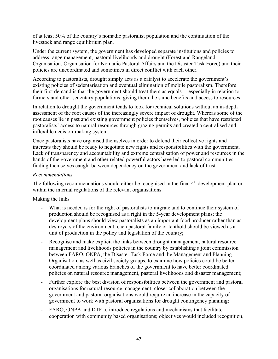of at least 50% of the country's nomadic pastoralist population and the continuation of the livestock and range equilibrium plan.

Under the current system, the government has developed separate institutions and policies to address range management, pastoral livelihoods and drought (Forest and Rangeland Organisation, Organisation for Nomadic Pastoral Affairs and the Disaster Task Force) and their policies are uncoordinated and sometimes in direct conflict with each other.

According to pastoralists, drought simply acts as a catalyst to accelerate the government's existing policies of sedentarisation and eventual elimination of mobile pastoralism. Therefore their first demand is that the government should treat them as equals— especially in relation to farmers and other sedentary populations, giving them the same benefits and access to resources.

In relation to drought the government tends to look for technical solutions without an in-depth assessment of the root causes of the increasingly severe impact of drought. Whereas some of the root causes lie in past and existing government policies themselves, policies that have restricted pastoralists' access to natural resources through grazing permits and created a centralised and inflexible decision-making system.

Once pastoralists have organised themselves in order to defend their collective rights and interests they should be ready to negotiate new rights and responsibilities with the government. Lack of transparency and accountability and extreme centralisation of power and resources in the hands of the government and other related powerful actors have led to pastoral communities finding themselves caught between dependency on the government and lack of trust.

#### *Recommendations*

The following recommendations should either be recognised in the final  $4<sup>th</sup>$  development plan or within the internal regulations of the relevant organisations.

#### Making the links

- What is needed is for the right of pastoralists to migrate and to continue their system of production should be recognised as a right in the 5-year development plans; the development plans should view pastoralists as an important food producer rather than as destroyers of the environment; each pastoral family or tenthold should be viewed as a unit of production in the policy and legislation of the country;
- Recognise and make explicit the links between drought management, natural resource management and livelihoods policies in the country by establishing a joint commission between FARO, ONPA, the Disaster Task Force and the Management and Planning Organisation, as well as civil society groups, to examine how policies could be better coordinated among various branches of the government to have better coordinated policies on natural resource management, pastoral livelihoods and disaster management;
- Further explore the best division of responsibilities between the government and pastoral organisations for natural resource management; closer collaboration between the government and pastoral organisations would require an increase in the capacity of government to work with pastoral organisations for drought contingency planning;
- FARO, ONPA and DTF to introduce regulations and mechanisms that facilitate cooperation with community based organisations; objectives would included recognition,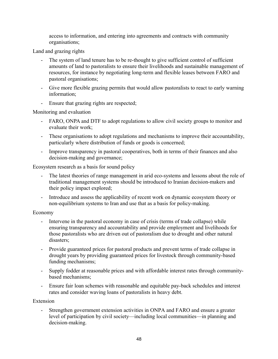access to information, and entering into agreements and contracts with community organisations;

Land and grazing rights

- The system of land tenure has to be re-thought to give sufficient control of sufficient amounts of land to pastoralists to ensure their livelihoods and sustainable management of resources, for instance by negotiating long-term and flexible leases between FARO and pastoral organisations;
- Give more flexible grazing permits that would allow pastoralists to react to early warning information;
- Ensure that grazing rights are respected;

Monitoring and evaluation

- FARO, ONPA and DTF to adopt regulations to allow civil society groups to monitor and evaluate their work;
- These organisations to adopt regulations and mechanisms to improve their accountability, particularly where distribution of funds or goods is concerned;
- Improve transparency in pastoral cooperatives, both in terms of their finances and also decision-making and governance;

Ecosystem research as a basis for sound policy

- The latest theories of range management in arid eco-systems and lessons about the role of traditional management systems should be introduced to Iranian decision-makers and their policy impact explored;
- Introduce and assess the applicability of recent work on dynamic ecosystem theory or non-equilibrium systems to Iran and use that as a basis for policy-making.

Economy

- Intervene in the pastoral economy in case of crisis (terms of trade collapse) while ensuring transparency and accountability and provide employment and livelihoods for those pastoralists who are driven out of pastoralism due to drought and other natural disasters;
- Provide guaranteed prices for pastoral products and prevent terms of trade collapse in drought years by providing guaranteed prices for livestock through community-based funding mechanisms;
- Supply fodder at reasonable prices and with affordable interest rates through communitybased mechanisms;
- Ensure fair loan schemes with reasonable and equitable pay-back schedules and interest rates and consider waving loans of pastoralists in heavy debt.

Extension

- Strengthen government extension activities in ONPA and FARO and ensure a greater level of participation by civil society—including local communities—in planning and decision-making.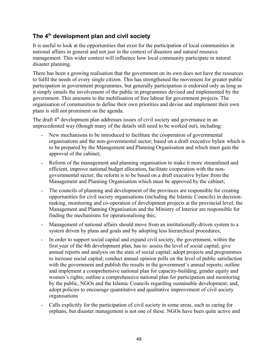## **The 4th development plan and civil society**

It is useful to look at the opportunities that exist for the participation of local communities in national affairs in general and not just in the context of disasters and natural resource management. This wider context will influence how local community participate in natural disaster planning.

There has been a growing realisation that the government on its own does not have the resources to fulfil the needs of every single citizen. This has strengthened the movement for greater public participation in government programmes, but generally participation is endorsed only as long as it simply entails the involvement of the public in programmes devised and implemented by the government. This amounts to the mobilisation of free labour for government projects. The organisation of communities to define their own priorities and devise and implement their own plans is still not prominent on the agenda.

The draft  $4<sup>th</sup>$  development plan addresses issues of civil society and governance in an unprecedented way (though many of the details still need to be worked out), including:

- New mechanisms to be introduced to facilitate the cooperation of governmental organisations and the non-governmental sector; based on a draft executive bylaw which is to be prepared by the Management and Planning Organisation and which must gain the approval of the cabinet;
- Reform of the management and planning organisation to make it more streamlined and efficient, improve national budget allocation, facilitate cooperation with the nongovernmental sector; the reform is to be based on a draft executive bylaw from the Management and Planning Organisation which must be approved by the cabinet;
- The councils of planning and development of the provinces are responsible for creating opportunities for civil society organisations (including the Islamic Councils) in decisionmaking, monitoring and co-operation of development projects at the provincial level; the Management and Planning Organisation and the Ministry of Interior are responsible for finding the mechanisms for operationalising this;
- Management of national affairs should move from an institutionally-driven system to a system driven by plans and goals and by adopting less hierarchical procedures;
- In order to support social capital and expand civil society, the government, within the first year of the 4th development plan, has to: assess the level of social capital; give annual reports and analysis on the state of social capital; adopt projects and programmes to increase social capital; conduct annual opinion polls on the level of public satisfaction with the government and publish the results in the government's annual reports; outline and implement a comprehensive national plan for capacity-building, gender equity and women's rights; outline a comprehensive national plan for participation and monitoring by the public, NGOs and the Islamic Councils regarding sustainable development; and, adopt policies to encourage quantitative and qualitative improvement of civil society organisations
- Calls explicitly for the participation of civil society in some areas, such as caring for orphans, but disaster management is not one of these. NGOs have been quite active and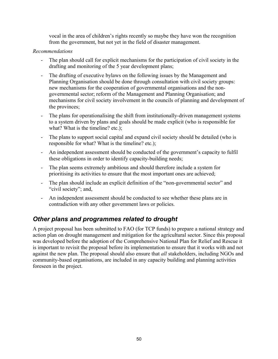vocal in the area of children's rights recently so maybe they have won the recognition from the government, but not yet in the field of disaster management.

#### *Recommendations*

- The plan should call for explicit mechanisms for the participation of civil society in the drafting and monitoring of the 5 year development plans;
- The drafting of executive bylaws on the following issues by the Management and Planning Organisation should be done through consultation with civil society groups: new mechanisms for the cooperation of governmental organisations and the nongovernmental sector; reform of the Management and Planning Organisation; and mechanisms for civil society involvement in the councils of planning and development of the provinces;
- The plans for operationalising the shift from institutionally-driven management systems to a system driven by plans and goals should be made explicit (who is responsible for what? What is the timeline? etc.);
- The plans to support social capital and expand civil society should be detailed (who is responsible for what? What is the timeline? etc.);
- An independent assessment should be conducted of the government's capacity to fulfil these obligations in order to identify capacity-building needs;
- The plan seems extremely ambitious and should therefore include a system for prioritising its activities to ensure that the most important ones are achieved;
- The plan should include an explicit definition of the "non-governmental sector" and "civil society"; and,
- An independent assessment should be conducted to see whether these plans are in contradiction with any other government laws or policies.

# <span id="page-49-0"></span>*Other plans and programmes related to drought*

A project proposal has been submitted to FAO (for TCP funds) to prepare a national strategy and action plan on drought management and mitigation for the agricultural sector. Since this proposal was developed before the adoption of the Comprehensive National Plan for Relief and Rescue it is important to revisit the proposal before its implementation to ensure that it works with and not against the new plan. The proposal should also ensure that *all* stakeholders, including NGOs and community-based organisations, are included in any capacity building and planning activities foreseen in the project.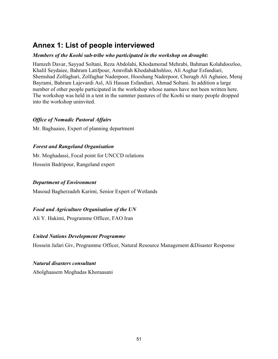# <span id="page-50-0"></span>**Annex 1: List of people interviewed**

#### *Members of the Koohi sub-tribe who participated in the workshop on drought:*

Hamzeh Davar, Sayyad Soltani, Reza Abdolahi, Khodamorad Mehrabi, Bahman Kolahdoozloo, Khalil Seydaiee, Bahram Latifpour, Amrollah Khodabakhshloo, Ali Asghar Esfandiari, Shemshad Zolfaghari, Zolfaghar Naderpoor, Hooshang Naderpoor, Cheragh Ali Aghaiee, Meraj Bayrami, Bahram Lajevardi Asl, Ali Hassan Esfandiari, Ahmad Soltani. In addition a large number of other people participated in the workshop whose names have not been written here. The workshop was held in a tent in the summer pastures of the Koohi so many people dropped into the workshop uninvited.

#### *Office of Nomadic Pastoral Affairs*

Mr. Baghaaiee, Expert of planning department

#### *Forest and Rangeland Organisation*

Mr. Moghadassi, Focal point for UNCCD relations Hossein Badripour, Rangeland expert

#### *Department of Environment*

Masoud Bagherzadeh Karimi, Senior Expert of Wetlands

#### *Food and Agriculture Organisation of the UN*

Ali Y. Hakimi, Programme Officer, FAO Iran

#### *United Nations Development Programme*

Hossein Jafari Giv, Programme Officer, Natural Resource Management &Disaster Response

#### *Natural disasters consultant*

Abolghaasem Moghadas Khoraasani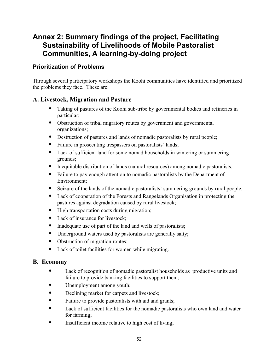# <span id="page-51-0"></span>**Annex 2: Summary findings of the project, Facilitating Sustainability of Livelihoods of Mobile Pastoralist Communities, A learning-by-doing project**

### **Prioritization of Problems**

Through several participatory workshops the Koohi communities have identified and prioritized the problems they face. These are:

### **A. Livestock, Migration and Pasture**

- Taking of pastures of the Koohi sub-tribe by governmental bodies and refineries in particular;
- Obstruction of tribal migratory routes by government and governmental organizations;
- Destruction of pastures and lands of nomadic pastoralists by rural people;
- Failure in prosecuting trespassers on pastoralists' lands;
- Lack of sufficient land for some nomad households in wintering or summering grounds;
- Inequitable distribution of lands (natural resources) among nomadic pastoralists;
- Failure to pay enough attention to nomadic pastoralists by the Department of Environment;
- Seizure of the lands of the nomadic pastoralists' summering grounds by rural people;
- Lack of cooperation of the Forests and Rangelands Organisation in protecting the pastures against degradation caused by rural livestock;
- High transportation costs during migration;
- Lack of insurance for livestock;
- Inadequate use of part of the land and wells of pastoralists;
- Underground waters used by pastoralists are generally salty;
- Obstruction of migration routes;
- Lack of toilet facilities for women while migrating.

### **B. Economy**

- Lack of recognition of nomadic pastoralist households as productive units and failure to provide banking facilities to support them;
- Unemployment among youth;
- Declining market for carpets and livestock;
- Failure to provide pastoralists with aid and grants;
- Lack of sufficient facilities for the nomadic pastoralists who own land and water for farming;
- Insufficient income relative to high cost of living;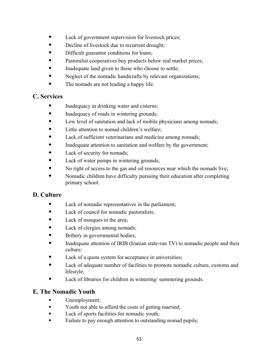- Lack of government supervision for livestock prices;
- Decline of livestock due to recurrent drought;
- Difficult guarantor conditions for loans;
- Pastoralist cooperatives buy products below real market prices;
- Inadequate land given to those who choose to settle;
- Neglect of the nomadic handicrafts by relevant organizations;
- The nomads are not leading a happy life.

### **C. Services**

- Inadequacy in drinking water and cisterns;
- Inadequacy of roads in wintering grounds;
- Low level of sanitation and lack of mobile physicians among nomads;
- Little attention to nomad children's welfare;
- Lack of sufficient veterinarians and medicine among nomads;
- Inadequate attention to sanitation and welfare by the government;
- Lack of security for nomads;
- Lack of water pumps in wintering grounds;
- No right of access to the gas and oil resources near which the nomads live;
- Nomadic children have difficulty pursuing their education after completing primary school.

## **D. Culture**

- Lack of nomadic representatives in the parliament;
- Lack of council for nomadic pastoralists;
- Lack of mosques in the area;
- Lack of clergies among nomads;
- Bribery in governmental bodies;
- Inadequate attention of IRIB (Iranian state-run TV) to nomadic people and their culture;
- Lack of a quota system for acceptance in universities;
- Lack of adequate number of facilities to promote nomadic culture, customs and lifestyle;
- Lack of libraries for children in wintering/ summering grounds.

## **E. The Nomadic Youth**

- Unemployment;
- Youth not able to afford the costs of getting married;
- Lack of sports facilities for nomadic youth;
- Failure to pay enough attention to outstanding nomad pupils;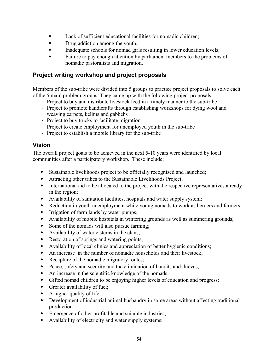- Lack of sufficient educational facilities for nomadic children;
- Drug addiction among the youth;
- Inadequate schools for nomad girls resulting in lower education levels;
- Failure to pay enough attention by parliament members to the problems of nomadic pastoralists and migration.

### **Project writing workshop and project proposals**

Members of the sub-tribe were divided into 5 groups to practice project proposals to solve each of the 5 main problem groups. They came up with the following project proposals:

- Project to buy and distribute livestock feed in a timely manner to the sub-tribe
- Project to promote handicrafts through establishing workshops for dying wool and weaving carpets, kelims and gabbehs
- Project to buy trucks to facilitate migration
- Project to create employment for unemployed youth in the sub-tribe
- Project to establish a mobile library for the sub-tribe

### **Vision**

The overall project goals to be achieved in the next 5-10 years were identified by local communities after a participatory workshop. These include:

- Sustainable livelihoods project to be officially recognised and launched;
- Attracting other tribes to the Sustainable Livelihoods Project;
- International aid to be allocated to the project with the respective representatives already in the region;
- Availability of sanitation facilities, hospitals and water supply system;
- Reduction in youth unemployment while young nomads to work as herders and farmers;
- Irrigation of farm lands by water pumps;
- Availability of mobile hospitals in wintering grounds as well as summering grounds;
- Some of the nomads will also pursue farming;
- Availability of water cisterns in the clans;
- Restoration of springs and watering points;
- Availability of local clinics and appreciation of better hygienic conditions;
- An increase in the number of nomadic households and their livestock;
- Recapture of the nomadic migratory routes;
- Peace, safety and security and the elimination of bandits and thieves;
- An increase in the scientific knowledge of the nomads;
- Gifted nomad children to be enjoying higher levels of education and progress;
- Greater availability of fuel;
- A higher quality of life;
- Development of industrial animal husbandry in some areas without affecting traditional production.
- Emergence of other profitable and suitable industries;
- Availability of electricity and water supply systems;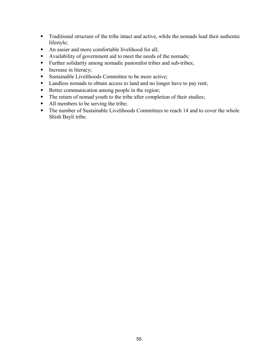- Traditional structure of the tribe intact and active, while the nomads lead their authentic lifestyle;
- An easier and more comfortable livelihood for all;
- Availability of government aid to meet the needs of the nomads;
- Further solidarity among nomadic pastoralist tribes and sub-tribes;
- Increase in literacy;
- Sustainable Livelihoods Committee to be more active;
- Landless nomads to obtain access to land and no longer have to pay rent;
- Better communication among people in the region;
- The return of nomad youth to the tribe after completion of their studies;
- All members to be serving the tribe;
- The number of Sustainable Livelihoods Committees to reach 14 and to cover the whole Shish Bayli tribe.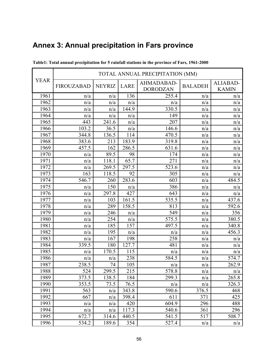|             | TOTAL ANNUAL PRECIPITATION (MM) |               |       |                               |                |                          |
|-------------|---------------------------------|---------------|-------|-------------------------------|----------------|--------------------------|
| <b>YEAR</b> | <b>FIROUZABAD</b>               | <b>NEYRIZ</b> | LARE  | AHMADABAD-<br><b>DORODZAN</b> | <b>BALADEH</b> | ALIABAD-<br><b>KAMIN</b> |
| 1961        | n/a                             | n/a           | 136   | 255.4                         | n/a            | n/a                      |
| 1962        | n/a                             | n/a           | n/a   | n/a                           | n/a            | n/a                      |
| 1963        | n/a                             | n/a           | 144.9 | 330.5                         | n/a            | n/a                      |
| 1964        | n/a                             | n/a           | n/a   | 149                           | n/a            | n/a                      |
| 1965        | 443                             | 241.6         | n/a   | 207                           | n/a            | n/a                      |
| 1966        | 103.2                           | 36.5          | n/a   | 146.6                         | n/a            | n/a                      |
| 1967        | 344.8                           | 136.5         | 114   | 470.5                         | n/a            | n/a                      |
| 1968        | 383.6                           | 213           | 183.9 | 319.8                         | n/a            | n/a                      |
| 1969        | 457.5                           | 162           | 286.5 | 631.6                         | n/a            | n/a                      |
| 1970        | n/a                             | 89.5          | 98    | 174                           | n/a            | n/a                      |
| 1971        | n/a                             | 118.1         | 65.7  | 271                           | n/a            | n/a                      |
| 1972        | n/a                             | 269.5         | 297.5 | 523.6                         | n/a            | n/a                      |
| 1973        | 163                             | 118.5         | 92    | 305                           | n/a            | n/a                      |
| 1974        | 546.7                           | 260           | 283.6 | 603                           | n/a            | 484.5                    |
| 1975        | n/a                             | 150           | n/a   | 386                           | n/a            | n/a                      |
| 1976        | n/a                             | 297.8         | 427   | 643                           | n/a            | n/a                      |
| 1977        | n/a                             | 103           | 161.5 | 535.5                         | n/a            | 437.6                    |
| 1978        | n/a                             | 289           | 158.5 | 813                           | n/a            | 592.6                    |
| 1979        | n/a                             | 246           | n/a   | 549                           | n/a            | 356                      |
| 1980        | n/a                             | 254           | n/a   | 575.5                         | n/a            | 380.5                    |
| 1981        | n/a                             | 185           | 157   | 497.5                         | n/a            | 340.8                    |
| 1982        | n/a                             | 195           | n/a   | n/a                           | n/a            | 456.3                    |
| 1983        | n/a                             | 167           | 198   | 258                           | n/a            | n/a                      |
| 1984        | 339.5                           | 180           | 127.7 | 481                           | n/a            | n/a                      |
| 1985        | n/a                             | 170.5         | 115   | n/a                           | n/a            | n/a                      |
| 1986        | n/a                             | n/a           | 238   | 584.5                         | n/a            | 574.7                    |
| 1987        | 238.5                           | 74            | 105   | n/a                           | n/a            | 262.9                    |
| 1988        | 524                             | 299.5         | 215   | 578.8                         | n/a            | n/a                      |
| 1989        | 373.5                           | 138.5         | 184   | 299.3                         | n/a            | 265.8                    |
| 1990        | 353.5                           | 73.5          | 76.5  | n/a                           | n/a            | 326.3                    |
| 1991        | 563                             | n/a           | 343.8 | 590.6                         | 376.5          | 468                      |
| 1992        | 667                             | n/a           | 398.4 | 611                           | 371            | 425                      |
| 1993        | n/a                             | n/a           | 420   | 604.9                         | 296            | 488                      |
| 1994        | n/a                             | n/a           | 117.3 | 540.6                         | 361            | 296                      |
| 1995        | 672.7                           | 314.6         | 440.5 | 541.5                         | 517            | 508.7                    |
| 1996        | 534.2                           | 189.6         | 354   | 527.4                         | n/a            | n/a                      |

# <span id="page-55-0"></span>**Annex 3: Annual precipitation in Fars province**

**Table1: Total annual precipitation for 5 rainfall stations in the province of Fars, 1961-2000**